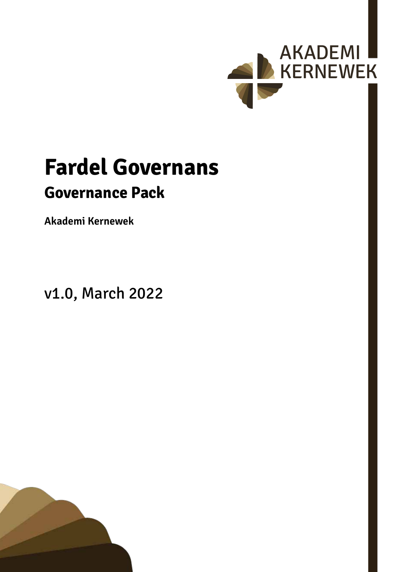

# **Fardel Governans Governance Pack**

**Akademi Kernewek**

v1.0, March 2022

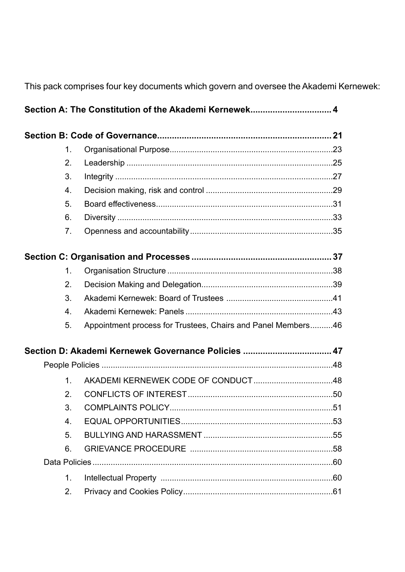This pack comprises four key documents which govern and oversee the Akademi Kernewek:

|  | 1.             |                                                              |  |  |  |
|--|----------------|--------------------------------------------------------------|--|--|--|
|  | 2.             |                                                              |  |  |  |
|  | 3.             |                                                              |  |  |  |
|  | 4.             |                                                              |  |  |  |
|  | 5.             |                                                              |  |  |  |
|  | 6.             |                                                              |  |  |  |
|  | 7.             |                                                              |  |  |  |
|  |                |                                                              |  |  |  |
|  | 1.             |                                                              |  |  |  |
|  | 2.             |                                                              |  |  |  |
|  | 3.             |                                                              |  |  |  |
|  | 4.             |                                                              |  |  |  |
|  | 5.             | Appointment process for Trustees, Chairs and Panel Members46 |  |  |  |
|  |                | Section D: Akademi Kernewek Governance Policies  47          |  |  |  |
|  |                |                                                              |  |  |  |
|  | $1_{\cdot}$    |                                                              |  |  |  |
|  | 2 <sub>1</sub> |                                                              |  |  |  |
|  | 3.             |                                                              |  |  |  |
|  | 4.             |                                                              |  |  |  |
|  | 5.             |                                                              |  |  |  |
|  | 6.             |                                                              |  |  |  |
|  |                |                                                              |  |  |  |
|  | 1.             |                                                              |  |  |  |
|  | 2.             |                                                              |  |  |  |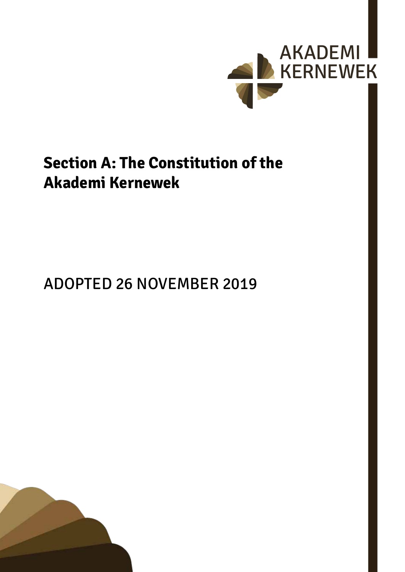

## <span id="page-3-0"></span>**Section A: The Constitution of the Akademi Kernewek**

## ADOPTED 26 NOVEMBER 2019

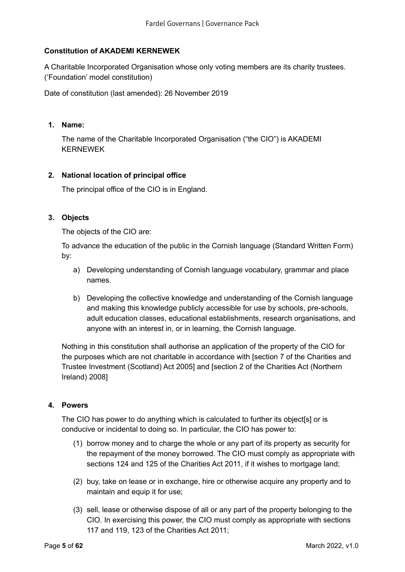## **Constitution of AKADEMI KERNEWEK**

A Charitable Incorporated Organisation whose only voting members are its charity trustees. ('Foundation' model constitution)

Date of constitution (last amended): 26 November 2019

#### **1. Name:**

The name of the Charitable Incorporated Organisation ("the CIO") is AKADEMI KERNEWEK

#### **2. National location of principal office**

The principal office of the CIO is in England.

### **3. Objects**

The objects of the CIO are:

To advance the education of the public in the Cornish language (Standard Written Form) by:

- a) Developing understanding of Cornish language vocabulary, grammar and place names.
- b) Developing the collective knowledge and understanding of the Cornish language and making this knowledge publicly accessible for use by schools, pre-schools, adult education classes, educational establishments, research organisations, and anyone with an interest in, or in learning, the Cornish language.

Nothing in this constitution shall authorise an application of the property of the CIO for the purposes which are not charitable in accordance with [section 7 of the Charities and Trustee Investment (Scotland) Act 2005] and [section 2 of the Charities Act (Northern Ireland) 2008]

#### **4. Powers**

The CIO has power to do anything which is calculated to further its object[s] or is conducive or incidental to doing so. In particular, the CIO has power to:

- (1) borrow money and to charge the whole or any part of its property as security for the repayment of the money borrowed. The CIO must comply as appropriate with sections 124 and 125 of the Charities Act 2011, if it wishes to mortgage land;
- (2) buy, take on lease or in exchange, hire or otherwise acquire any property and to maintain and equip it for use;
- (3) sell, lease or otherwise dispose of all or any part of the property belonging to the CIO. In exercising this power, the CIO must comply as appropriate with sections 117 and 119, 123 of the Charities Act 2011;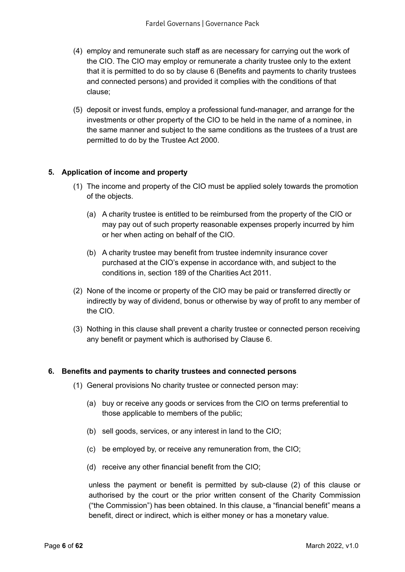- (4) employ and remunerate such staff as are necessary for carrying out the work of the CIO. The CIO may employ or remunerate a charity trustee only to the extent that it is permitted to do so by clause 6 (Benefits and payments to charity trustees and connected persons) and provided it complies with the conditions of that clause;
- (5) deposit or invest funds, employ a professional fund-manager, and arrange for the investments or other property of the CIO to be held in the name of a nominee, in the same manner and subject to the same conditions as the trustees of a trust are permitted to do by the Trustee Act 2000.

## **5. Application of income and property**

- (1) The income and property of the CIO must be applied solely towards the promotion of the objects.
	- (a) A charity trustee is entitled to be reimbursed from the property of the CIO or may pay out of such property reasonable expenses properly incurred by him or her when acting on behalf of the CIO.
	- (b) A charity trustee may benefit from trustee indemnity insurance cover purchased at the CIO's expense in accordance with, and subject to the conditions in, section 189 of the Charities Act 2011.
- (2) None of the income or property of the CIO may be paid or transferred directly or indirectly by way of dividend, bonus or otherwise by way of profit to any member of the CIO.
- (3) Nothing in this clause shall prevent a charity trustee or connected person receiving any benefit or payment which is authorised by Clause 6.

#### **6. Benefits and payments to charity trustees and connected persons**

- (1) General provisions No charity trustee or connected person may:
	- (a) buy or receive any goods or services from the CIO on terms preferential to those applicable to members of the public;
	- (b) sell goods, services, or any interest in land to the CIO;
	- (c) be employed by, or receive any remuneration from, the CIO;
	- (d) receive any other financial benefit from the CIO;

unless the payment or benefit is permitted by sub-clause (2) of this clause or authorised by the court or the prior written consent of the Charity Commission ("the Commission") has been obtained. In this clause, a "financial benefit" means a benefit, direct or indirect, which is either money or has a monetary value.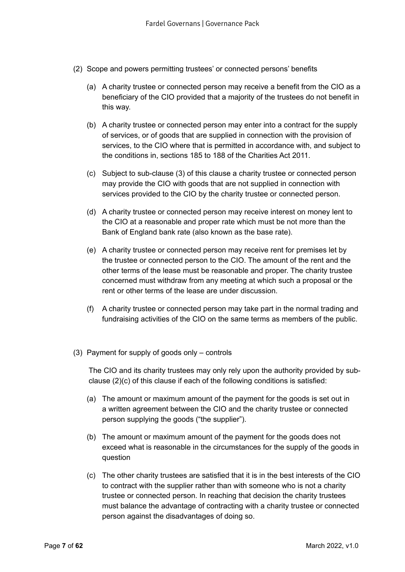- (2) Scope and powers permitting trustees' or connected persons' benefits
	- (a) A charity trustee or connected person may receive a benefit from the CIO as a beneficiary of the CIO provided that a majority of the trustees do not benefit in this way.
	- (b) A charity trustee or connected person may enter into a contract for the supply of services, or of goods that are supplied in connection with the provision of services, to the CIO where that is permitted in accordance with, and subject to the conditions in, sections 185 to 188 of the Charities Act 2011.
	- (c) Subject to sub-clause (3) of this clause a charity trustee or connected person may provide the CIO with goods that are not supplied in connection with services provided to the CIO by the charity trustee or connected person.
	- (d) A charity trustee or connected person may receive interest on money lent to the CIO at a reasonable and proper rate which must be not more than the Bank of England bank rate (also known as the base rate).
	- (e) A charity trustee or connected person may receive rent for premises let by the trustee or connected person to the CIO. The amount of the rent and the other terms of the lease must be reasonable and proper. The charity trustee concerned must withdraw from any meeting at which such a proposal or the rent or other terms of the lease are under discussion.
	- (f) A charity trustee or connected person may take part in the normal trading and fundraising activities of the CIO on the same terms as members of the public.
- (3) Payment for supply of goods only controls

The CIO and its charity trustees may only rely upon the authority provided by subclause (2)(c) of this clause if each of the following conditions is satisfied:

- (a) The amount or maximum amount of the payment for the goods is set out in a written agreement between the CIO and the charity trustee or connected person supplying the goods ("the supplier").
- (b) The amount or maximum amount of the payment for the goods does not exceed what is reasonable in the circumstances for the supply of the goods in question
- (c) The other charity trustees are satisfied that it is in the best interests of the CIO to contract with the supplier rather than with someone who is not a charity trustee or connected person. In reaching that decision the charity trustees must balance the advantage of contracting with a charity trustee or connected person against the disadvantages of doing so.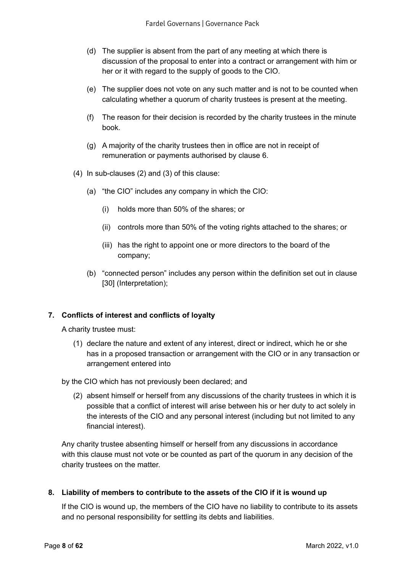- (d) The supplier is absent from the part of any meeting at which there is discussion of the proposal to enter into a contract or arrangement with him or her or it with regard to the supply of goods to the CIO.
- (e) The supplier does not vote on any such matter and is not to be counted when calculating whether a quorum of charity trustees is present at the meeting.
- (f) The reason for their decision is recorded by the charity trustees in the minute book.
- (g) A majority of the charity trustees then in office are not in receipt of remuneration or payments authorised by clause 6.
- (4) In sub-clauses (2) and (3) of this clause:
	- (a) "the CIO" includes any company in which the CIO:
		- (i) holds more than 50% of the shares; or
		- (ii) controls more than 50% of the voting rights attached to the shares; or
		- (iii) has the right to appoint one or more directors to the board of the company;
	- (b) "connected person" includes any person within the definition set out in clause [30] (Interpretation);

## **7. Conflicts of interest and conflicts of loyalty**

A charity trustee must:

(1) declare the nature and extent of any interest, direct or indirect, which he or she has in a proposed transaction or arrangement with the CIO or in any transaction or arrangement entered into

by the CIO which has not previously been declared; and

(2) absent himself or herself from any discussions of the charity trustees in which it is possible that a conflict of interest will arise between his or her duty to act solely in the interests of the CIO and any personal interest (including but not limited to any financial interest).

Any charity trustee absenting himself or herself from any discussions in accordance with this clause must not vote or be counted as part of the quorum in any decision of the charity trustees on the matter.

#### **8. Liability of members to contribute to the assets of the CIO if it is wound up**

If the CIO is wound up, the members of the CIO have no liability to contribute to its assets and no personal responsibility for settling its debts and liabilities.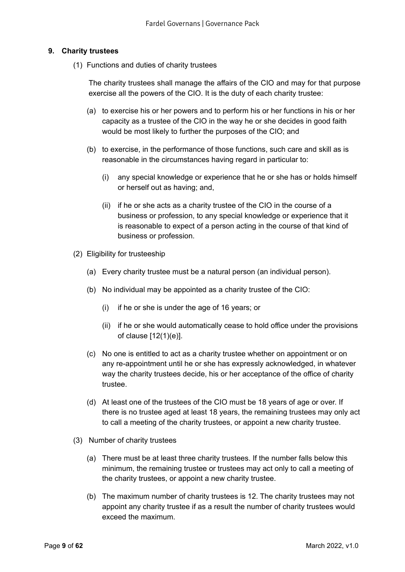### **9. Charity trustees**

(1) Functions and duties of charity trustees

The charity trustees shall manage the affairs of the CIO and may for that purpose exercise all the powers of the CIO. It is the duty of each charity trustee:

- (a) to exercise his or her powers and to perform his or her functions in his or her capacity as a trustee of the CIO in the way he or she decides in good faith would be most likely to further the purposes of the CIO; and
- (b) to exercise, in the performance of those functions, such care and skill as is reasonable in the circumstances having regard in particular to:
	- (i) any special knowledge or experience that he or she has or holds himself or herself out as having; and,
	- (ii) if he or she acts as a charity trustee of the CIO in the course of a business or profession, to any special knowledge or experience that it is reasonable to expect of a person acting in the course of that kind of business or profession.
- (2) Eligibility for trusteeship
	- (a) Every charity trustee must be a natural person (an individual person).
	- (b) No individual may be appointed as a charity trustee of the CIO:
		- (i) if he or she is under the age of 16 years; or
		- (ii) if he or she would automatically cease to hold office under the provisions of clause [12(1)(e)].
	- (c) No one is entitled to act as a charity trustee whether on appointment or on any re-appointment until he or she has expressly acknowledged, in whatever way the charity trustees decide, his or her acceptance of the office of charity trustee.
	- (d) At least one of the trustees of the CIO must be 18 years of age or over. If there is no trustee aged at least 18 years, the remaining trustees may only act to call a meeting of the charity trustees, or appoint a new charity trustee.
- (3) Number of charity trustees
	- (a) There must be at least three charity trustees. If the number falls below this minimum, the remaining trustee or trustees may act only to call a meeting of the charity trustees, or appoint a new charity trustee.
	- (b) The maximum number of charity trustees is 12. The charity trustees may not appoint any charity trustee if as a result the number of charity trustees would exceed the maximum.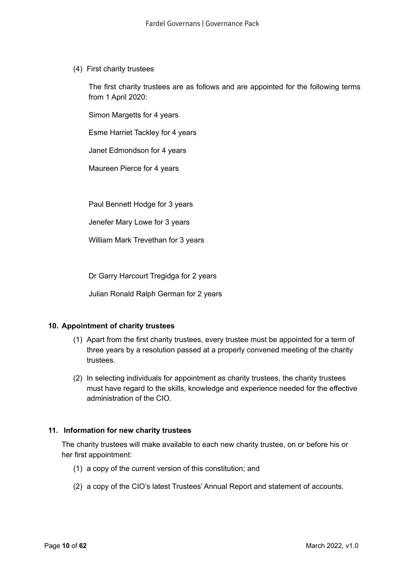(4) First charity trustees

The first charity trustees are as follows and are appointed for the following terms from 1 April 2020:

Simon Margetts for 4 years

Esme Harriet Tackley for 4 years

Janet Edmondson for 4 years

Maureen Pierce for 4 years

Paul Bennett Hodge for 3 years

Jenefer Mary Lowe for 3 years

William Mark Trevethan for 3 years

Dr Garry Harcourt Tregidga for 2 years

Julian Ronald Ralph German for 2 years

#### **10. Appointment of charity trustees**

- (1) Apart from the first charity trustees, every trustee must be appointed for a term of three years by a resolution passed at a properly convened meeting of the charity trustees.
- (2) In selecting individuals for appointment as charity trustees, the charity trustees must have regard to the skills, knowledge and experience needed for the effective administration of the CIO.

#### **11. Information for new charity trustees**

The charity trustees will make available to each new charity trustee, on or before his or her first appointment:

- (1) a copy of the current version of this constitution; and
- (2) a copy of the CIO's latest Trustees' Annual Report and statement of accounts.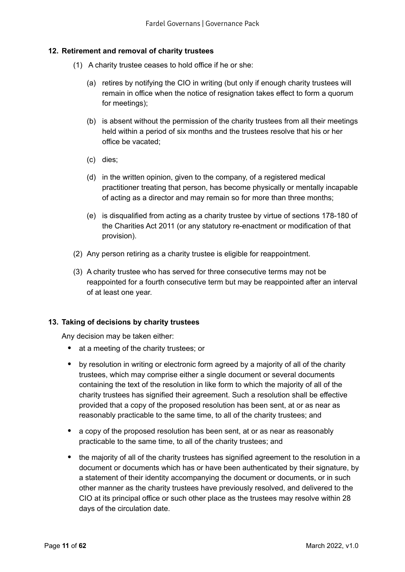## **12. Retirement and removal of charity trustees**

- (1) A charity trustee ceases to hold office if he or she:
	- (a) retires by notifying the CIO in writing (but only if enough charity trustees will remain in office when the notice of resignation takes effect to form a quorum for meetings);
	- (b) is absent without the permission of the charity trustees from all their meetings held within a period of six months and the trustees resolve that his or her office be vacated;
	- (c) dies;
	- (d) in the written opinion, given to the company, of a registered medical practitioner treating that person, has become physically or mentally incapable of acting as a director and may remain so for more than three months;
	- (e) is disqualified from acting as a charity trustee by virtue of sections 178-180 of the Charities Act 2011 (or any statutory re-enactment or modification of that provision).
- (2) Any person retiring as a charity trustee is eligible for reappointment.
- (3) A charity trustee who has served for three consecutive terms may not be reappointed for a fourth consecutive term but may be reappointed after an interval of at least one year.

#### **13. Taking of decisions by charity trustees**

Any decision may be taken either:

- at a meeting of the charity trustees; or
- by resolution in writing or electronic form agreed by a majority of all of the charity trustees, which may comprise either a single document or several documents containing the text of the resolution in like form to which the majority of all of the charity trustees has signified their agreement. Such a resolution shall be effective provided that a copy of the proposed resolution has been sent, at or as near as reasonably practicable to the same time, to all of the charity trustees; and
- a copy of the proposed resolution has been sent, at or as near as reasonably practicable to the same time, to all of the charity trustees; and
- the majority of all of the charity trustees has signified agreement to the resolution in a document or documents which has or have been authenticated by their signature, by a statement of their identity accompanying the document or documents, or in such other manner as the charity trustees have previously resolved, and delivered to the CIO at its principal office or such other place as the trustees may resolve within 28 days of the circulation date.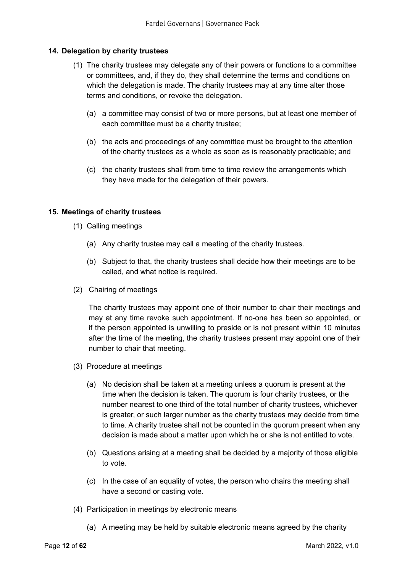## **14. Delegation by charity trustees**

- (1) The charity trustees may delegate any of their powers or functions to a committee or committees, and, if they do, they shall determine the terms and conditions on which the delegation is made. The charity trustees may at any time alter those terms and conditions, or revoke the delegation.
	- (a) a committee may consist of two or more persons, but at least one member of each committee must be a charity trustee;
	- (b) the acts and proceedings of any committee must be brought to the attention of the charity trustees as a whole as soon as is reasonably practicable; and
	- (c) the charity trustees shall from time to time review the arrangements which they have made for the delegation of their powers.

#### **15. Meetings of charity trustees**

- (1) Calling meetings
	- (a) Any charity trustee may call a meeting of the charity trustees.
	- (b) Subject to that, the charity trustees shall decide how their meetings are to be called, and what notice is required.
- (2) Chairing of meetings

The charity trustees may appoint one of their number to chair their meetings and may at any time revoke such appointment. If no-one has been so appointed, or if the person appointed is unwilling to preside or is not present within 10 minutes after the time of the meeting, the charity trustees present may appoint one of their number to chair that meeting.

- (3) Procedure at meetings
	- (a) No decision shall be taken at a meeting unless a quorum is present at the time when the decision is taken. The quorum is four charity trustees, or the number nearest to one third of the total number of charity trustees, whichever is greater, or such larger number as the charity trustees may decide from time to time. A charity trustee shall not be counted in the quorum present when any decision is made about a matter upon which he or she is not entitled to vote.
	- (b) Questions arising at a meeting shall be decided by a majority of those eligible to vote.
	- (c) In the case of an equality of votes, the person who chairs the meeting shall have a second or casting vote.
- (4) Participation in meetings by electronic means
	- (a) A meeting may be held by suitable electronic means agreed by the charity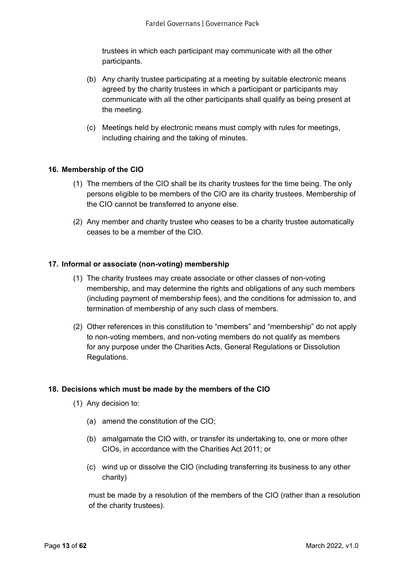trustees in which each participant may communicate with all the other participants.

- (b) Any charity trustee participating at a meeting by suitable electronic means agreed by the charity trustees in which a participant or participants may communicate with all the other participants shall qualify as being present at the meeting.
- (c) Meetings held by electronic means must comply with rules for meetings, including chairing and the taking of minutes.

#### **16. Membership of the CIO**

- (1) The members of the CIO shall be its charity trustees for the time being. The only persons eligible to be members of the CIO are its charity trustees. Membership of the CIO cannot be transferred to anyone else.
- (2) Any member and charity trustee who ceases to be a charity trustee automatically ceases to be a member of the CIO.

#### **17. Informal or associate (non-voting) membership**

- (1) The charity trustees may create associate or other classes of non-voting membership, and may determine the rights and obligations of any such members (including payment of membership fees), and the conditions for admission to, and termination of membership of any such class of members.
- (2) Other references in this constitution to "members" and "membership" do not apply to non-voting members, and non-voting members do not qualify as members for any purpose under the Charities Acts, General Regulations or Dissolution Regulations.

#### **18. Decisions which must be made by the members of the CIO**

- (1) Any decision to:
	- (a) amend the constitution of the CIO;
	- (b) amalgamate the CIO with, or transfer its undertaking to, one or more other CIOs, in accordance with the Charities Act 2011; or
	- (c) wind up or dissolve the CIO (including transferring its business to any other charity)

must be made by a resolution of the members of the CIO (rather than a resolution of the charity trustees).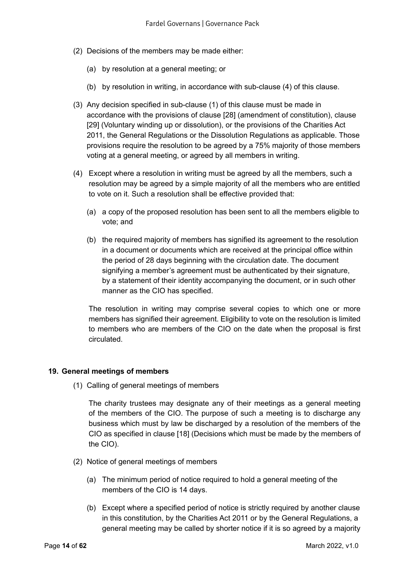- (2) Decisions of the members may be made either:
	- (a) by resolution at a general meeting; or
	- (b) by resolution in writing, in accordance with sub-clause (4) of this clause.
- (3) Any decision specified in sub-clause (1) of this clause must be made in accordance with the provisions of clause [28] (amendment of constitution), clause [29] (Voluntary winding up or dissolution), or the provisions of the Charities Act 2011, the General Regulations or the Dissolution Regulations as applicable. Those provisions require the resolution to be agreed by a 75% majority of those members voting at a general meeting, or agreed by all members in writing.
- (4) Except where a resolution in writing must be agreed by all the members, such a resolution may be agreed by a simple majority of all the members who are entitled to vote on it. Such a resolution shall be effective provided that:
	- (a) a copy of the proposed resolution has been sent to all the members eligible to vote; and
	- (b) the required majority of members has signified its agreement to the resolution in a document or documents which are received at the principal office within the period of 28 days beginning with the circulation date. The document signifying a member's agreement must be authenticated by their signature, by a statement of their identity accompanying the document, or in such other manner as the CIO has specified.

The resolution in writing may comprise several copies to which one or more members has signified their agreement. Eligibility to vote on the resolution is limited to members who are members of the CIO on the date when the proposal is first circulated.

#### **19. General meetings of members**

(1) Calling of general meetings of members

The charity trustees may designate any of their meetings as a general meeting of the members of the CIO. The purpose of such a meeting is to discharge any business which must by law be discharged by a resolution of the members of the CIO as specified in clause [18] (Decisions which must be made by the members of the CIO).

- (2) Notice of general meetings of members
	- (a) The minimum period of notice required to hold a general meeting of the members of the CIO is 14 days.
	- (b) Except where a specified period of notice is strictly required by another clause in this constitution, by the Charities Act 2011 or by the General Regulations, a general meeting may be called by shorter notice if it is so agreed by a majority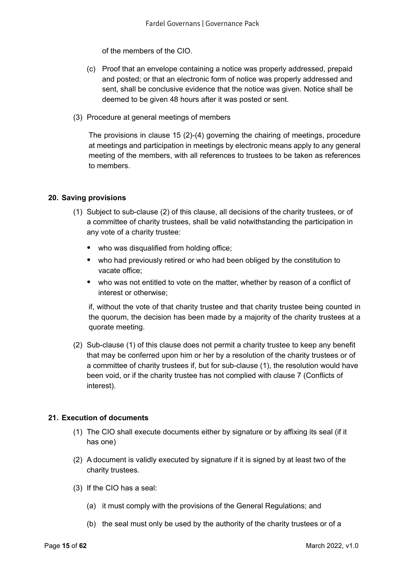of the members of the CIO.

- (c) Proof that an envelope containing a notice was properly addressed, prepaid and posted; or that an electronic form of notice was properly addressed and sent, shall be conclusive evidence that the notice was given. Notice shall be deemed to be given 48 hours after it was posted or sent.
- (3) Procedure at general meetings of members

The provisions in clause 15 (2)-(4) governing the chairing of meetings, procedure at meetings and participation in meetings by electronic means apply to any general meeting of the members, with all references to trustees to be taken as references to members.

### **20. Saving provisions**

- (1) Subject to sub-clause (2) of this clause, all decisions of the charity trustees, or of a committee of charity trustees, shall be valid notwithstanding the participation in any vote of a charity trustee:
	- who was disqualified from holding office;
	- who had previously retired or who had been obliged by the constitution to vacate office;
	- who was not entitled to vote on the matter, whether by reason of a conflict of interest or otherwise;

if, without the vote of that charity trustee and that charity trustee being counted in the quorum, the decision has been made by a majority of the charity trustees at a quorate meeting.

(2) Sub-clause (1) of this clause does not permit a charity trustee to keep any benefit that may be conferred upon him or her by a resolution of the charity trustees or of a committee of charity trustees if, but for sub-clause (1), the resolution would have been void, or if the charity trustee has not complied with clause 7 (Conflicts of interest).

#### **21. Execution of documents**

- (1) The CIO shall execute documents either by signature or by affixing its seal (if it has one)
- (2) A document is validly executed by signature if it is signed by at least two of the charity trustees.
- (3) If the CIO has a seal:
	- (a) it must comply with the provisions of the General Regulations; and
	- (b) the seal must only be used by the authority of the charity trustees or of a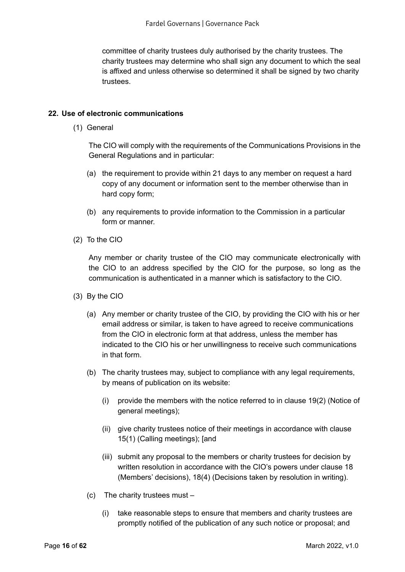committee of charity trustees duly authorised by the charity trustees. The charity trustees may determine who shall sign any document to which the seal is affixed and unless otherwise so determined it shall be signed by two charity trustees.

### **22. Use of electronic communications**

(1) General

The CIO will comply with the requirements of the Communications Provisions in the General Regulations and in particular:

- (a) the requirement to provide within 21 days to any member on request a hard copy of any document or information sent to the member otherwise than in hard copy form;
- (b) any requirements to provide information to the Commission in a particular form or manner.
- (2) To the CIO

Any member or charity trustee of the CIO may communicate electronically with the CIO to an address specified by the CIO for the purpose, so long as the communication is authenticated in a manner which is satisfactory to the CIO.

- (3) By the CIO
	- (a) Any member or charity trustee of the CIO, by providing the CIO with his or her email address or similar, is taken to have agreed to receive communications from the CIO in electronic form at that address, unless the member has indicated to the CIO his or her unwillingness to receive such communications in that form.
	- (b) The charity trustees may, subject to compliance with any legal requirements, by means of publication on its website:
		- (i) provide the members with the notice referred to in clause 19(2) (Notice of general meetings);
		- (ii) give charity trustees notice of their meetings in accordance with clause 15(1) (Calling meetings); [and
		- (iii) submit any proposal to the members or charity trustees for decision by written resolution in accordance with the CIO's powers under clause 18 (Members' decisions), 18(4) (Decisions taken by resolution in writing).
	- (c) The charity trustees must
		- (i) take reasonable steps to ensure that members and charity trustees are promptly notified of the publication of any such notice or proposal; and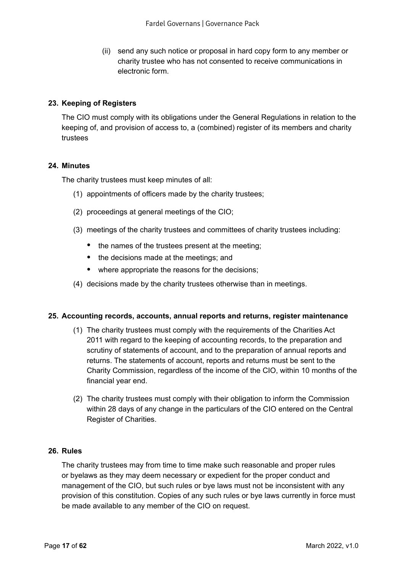(ii) send any such notice or proposal in hard copy form to any member or charity trustee who has not consented to receive communications in electronic form.

### **23. Keeping of Registers**

The CIO must comply with its obligations under the General Regulations in relation to the keeping of, and provision of access to, a (combined) register of its members and charity trustees

#### **24. Minutes**

The charity trustees must keep minutes of all:

- (1) appointments of officers made by the charity trustees;
- (2) proceedings at general meetings of the CIO;
- (3) meetings of the charity trustees and committees of charity trustees including:
	- the names of the trustees present at the meeting;
	- the decisions made at the meetings; and
	- where appropriate the reasons for the decisions;
- (4) decisions made by the charity trustees otherwise than in meetings.

#### **25. Accounting records, accounts, annual reports and returns, register maintenance**

- (1) The charity trustees must comply with the requirements of the Charities Act 2011 with regard to the keeping of accounting records, to the preparation and scrutiny of statements of account, and to the preparation of annual reports and returns. The statements of account, reports and returns must be sent to the Charity Commission, regardless of the income of the CIO, within 10 months of the financial year end.
- (2) The charity trustees must comply with their obligation to inform the Commission within 28 days of any change in the particulars of the CIO entered on the Central Register of Charities.

#### **26. Rules**

The charity trustees may from time to time make such reasonable and proper rules or byelaws as they may deem necessary or expedient for the proper conduct and management of the CIO, but such rules or bye laws must not be inconsistent with any provision of this constitution. Copies of any such rules or bye laws currently in force must be made available to any member of the CIO on request.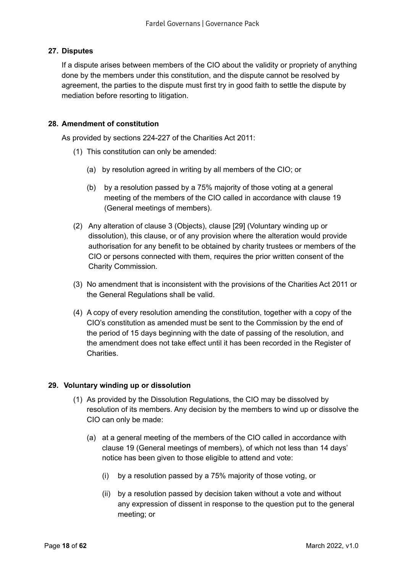## **27. Disputes**

If a dispute arises between members of the CIO about the validity or propriety of anything done by the members under this constitution, and the dispute cannot be resolved by agreement, the parties to the dispute must first try in good faith to settle the dispute by mediation before resorting to litigation.

## **28. Amendment of constitution**

As provided by sections 224-227 of the Charities Act 2011:

- (1) This constitution can only be amended:
	- (a) by resolution agreed in writing by all members of the CIO; or
	- (b) by a resolution passed by a 75% majority of those voting at a general meeting of the members of the CIO called in accordance with clause 19 (General meetings of members).
- (2) Any alteration of clause 3 (Objects), clause [29] (Voluntary winding up or dissolution), this clause, or of any provision where the alteration would provide authorisation for any benefit to be obtained by charity trustees or members of the CIO or persons connected with them, requires the prior written consent of the Charity Commission.
- (3) No amendment that is inconsistent with the provisions of the Charities Act 2011 or the General Regulations shall be valid.
- (4) A copy of every resolution amending the constitution, together with a copy of the CIO's constitution as amended must be sent to the Commission by the end of the period of 15 days beginning with the date of passing of the resolution, and the amendment does not take effect until it has been recorded in the Register of **Charities**

## **29. Voluntary winding up or dissolution**

- (1) As provided by the Dissolution Regulations, the CIO may be dissolved by resolution of its members. Any decision by the members to wind up or dissolve the CIO can only be made:
	- (a) at a general meeting of the members of the CIO called in accordance with clause 19 (General meetings of members), of which not less than 14 days' notice has been given to those eligible to attend and vote:
		- (i) by a resolution passed by a 75% majority of those voting, or
		- (ii) by a resolution passed by decision taken without a vote and without any expression of dissent in response to the question put to the general meeting; or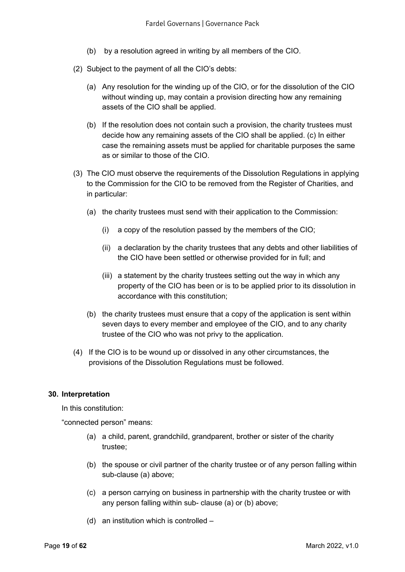- (b) by a resolution agreed in writing by all members of the CIO.
- (2) Subject to the payment of all the CIO's debts:
	- (a) Any resolution for the winding up of the CIO, or for the dissolution of the CIO without winding up, may contain a provision directing how any remaining assets of the CIO shall be applied.
	- (b) If the resolution does not contain such a provision, the charity trustees must decide how any remaining assets of the CIO shall be applied. (c) In either case the remaining assets must be applied for charitable purposes the same as or similar to those of the CIO.
- (3) The CIO must observe the requirements of the Dissolution Regulations in applying to the Commission for the CIO to be removed from the Register of Charities, and in particular:
	- (a) the charity trustees must send with their application to the Commission:
		- (i) a copy of the resolution passed by the members of the CIO;
		- (ii) a declaration by the charity trustees that any debts and other liabilities of the CIO have been settled or otherwise provided for in full; and
		- (iii) a statement by the charity trustees setting out the way in which any property of the CIO has been or is to be applied prior to its dissolution in accordance with this constitution;
	- (b) the charity trustees must ensure that a copy of the application is sent within seven days to every member and employee of the CIO, and to any charity trustee of the CIO who was not privy to the application.
- (4) If the CIO is to be wound up or dissolved in any other circumstances, the provisions of the Dissolution Regulations must be followed.

#### **30. Interpretation**

In this constitution:

"connected person" means:

- (a) a child, parent, grandchild, grandparent, brother or sister of the charity trustee;
- (b) the spouse or civil partner of the charity trustee or of any person falling within sub-clause (a) above;
- (c) a person carrying on business in partnership with the charity trustee or with any person falling within sub- clause (a) or (b) above;
- (d) an institution which is controlled –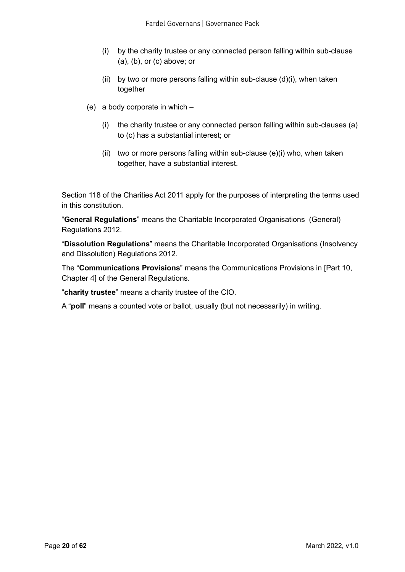- (i) by the charity trustee or any connected person falling within sub-clause (a), (b), or (c) above; or
- (ii) by two or more persons falling within sub-clause (d)(i), when taken together
- (e) a body corporate in which
	- (i) the charity trustee or any connected person falling within sub-clauses (a) to (c) has a substantial interest; or
	- (ii) two or more persons falling within sub-clause (e)(i) who, when taken together, have a substantial interest.

Section 118 of the Charities Act 2011 apply for the purposes of interpreting the terms used in this constitution.

"**General Regulations**" means the Charitable Incorporated Organisations (General) Regulations 2012.

"**Dissolution Regulations**" means the Charitable Incorporated Organisations (Insolvency and Dissolution) Regulations 2012.

The "**Communications Provisions**" means the Communications Provisions in [Part 10, Chapter 4] of the General Regulations.

"**charity trustee**" means a charity trustee of the CIO.

A "**poll**" means a counted vote or ballot, usually (but not necessarily) in writing.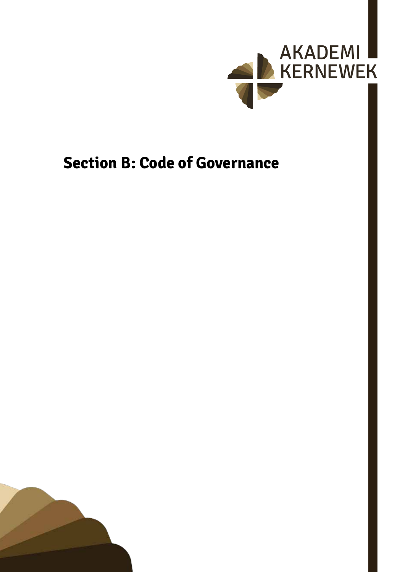

## <span id="page-20-0"></span>**Section B: Code of Governance**

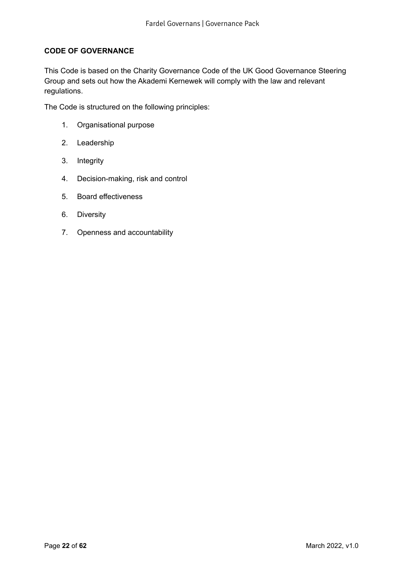## **CODE OF GOVERNANCE**

This Code is based on the Charity Governance Code of the UK Good Governance Steering Group and sets out how the Akademi Kernewek will comply with the law and relevant regulations.

The Code is structured on the following principles:

- 1. Organisational purpose
- 2. Leadership
- 3. Integrity
- 4. Decision-making, risk and control
- 5. Board effectiveness
- 6. Diversity
- 7. Openness and accountability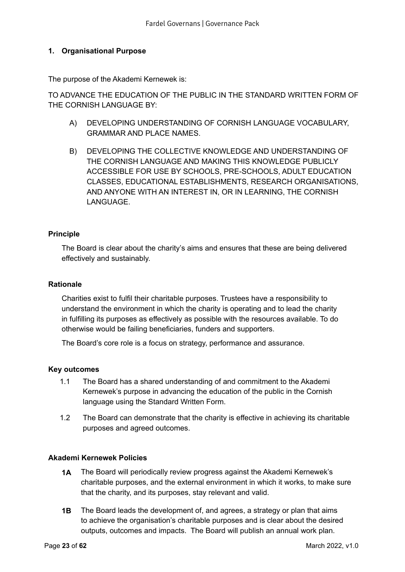## <span id="page-22-0"></span>**1. Organisational Purpose**

The purpose of the Akademi Kernewek is:

TO ADVANCE THE EDUCATION OF THE PUBLIC IN THE STANDARD WRITTEN FORM OF THE CORNISH LANGUAGE BY:

- A) DEVELOPING UNDERSTANDING OF CORNISH LANGUAGE VOCABULARY, GRAMMAR AND PLACE NAMES.
- B) DEVELOPING THE COLLECTIVE KNOWLEDGE AND UNDERSTANDING OF THE CORNISH LANGUAGE AND MAKING THIS KNOWLEDGE PUBLICLY ACCESSIBLE FOR USE BY SCHOOLS, PRE-SCHOOLS, ADULT EDUCATION CLASSES, EDUCATIONAL ESTABLISHMENTS, RESEARCH ORGANISATIONS, AND ANYONE WITH AN INTEREST IN, OR IN LEARNING, THE CORNISH LANGUAGE.

### **Principle**

The Board is clear about the charity's aims and ensures that these are being delivered effectively and sustainably.

#### **Rationale**

Charities exist to fulfil their charitable purposes. Trustees have a responsibility to understand the environment in which the charity is operating and to lead the charity in fulfilling its purposes as effectively as possible with the resources available. To do otherwise would be failing beneficiaries, funders and supporters.

The Board's core role is a focus on strategy, performance and assurance.

#### **Key outcomes**

- 1.1 The Board has a shared understanding of and commitment to the Akademi Kernewek's purpose in advancing the education of the public in the Cornish language using the Standard Written Form.
- 1.2 The Board can demonstrate that the charity is effective in achieving its charitable purposes and agreed outcomes.

#### **Akademi Kernewek Policies**

- **1A** The Board will periodically review progress against the Akademi Kernewek's charitable purposes, and the external environment in which it works, to make sure that the charity, and its purposes, stay relevant and valid.
- **1B** The Board leads the development of, and agrees, a strategy or plan that aims to achieve the organisation's charitable purposes and is clear about the desired outputs, outcomes and impacts. The Board will publish an annual work plan.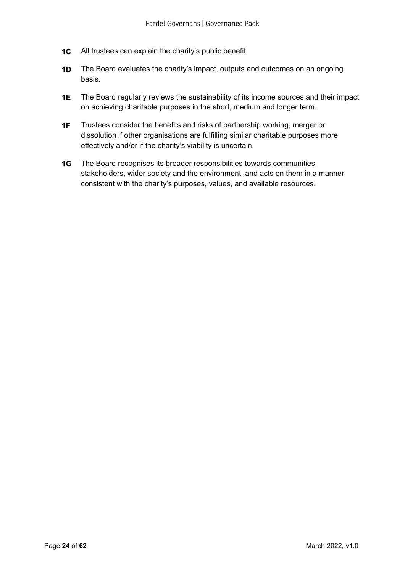- **1C** All trustees can explain the charity's public benefit.
- **1D** The Board evaluates the charity's impact, outputs and outcomes on an ongoing basis.
- **1E** The Board regularly reviews the sustainability of its income sources and their impact on achieving charitable purposes in the short, medium and longer term.
- **1F** Trustees consider the benefits and risks of partnership working, merger or dissolution if other organisations are fulfilling similar charitable purposes more effectively and/or if the charity's viability is uncertain.
- **1G** The Board recognises its broader responsibilities towards communities, stakeholders, wider society and the environment, and acts on them in a manner consistent with the charity's purposes, values, and available resources.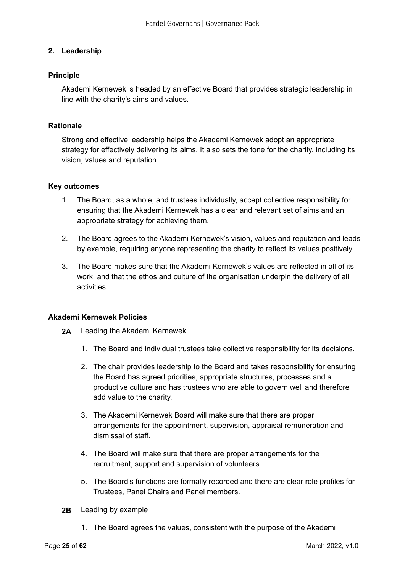## <span id="page-24-0"></span>**2. Leadership**

#### **Principle**

Akademi Kernewek is headed by an effective Board that provides strategic leadership in line with the charity's aims and values.

#### **Rationale**

Strong and effective leadership helps the Akademi Kernewek adopt an appropriate strategy for effectively delivering its aims. It also sets the tone for the charity, including its vision, values and reputation.

#### **Key outcomes**

- 1. The Board, as a whole, and trustees individually, accept collective responsibility for ensuring that the Akademi Kernewek has a clear and relevant set of aims and an appropriate strategy for achieving them.
- 2. The Board agrees to the Akademi Kernewek's vision, values and reputation and leads by example, requiring anyone representing the charity to reflect its values positively.
- 3. The Board makes sure that the Akademi Kernewek's values are reflected in all of its work, and that the ethos and culture of the organisation underpin the delivery of all activities.

#### **Akademi Kernewek Policies**

- **2A** Leading the Akademi Kernewek
	- 1. The Board and individual trustees take collective responsibility for its decisions.
	- 2. The chair provides leadership to the Board and takes responsibility for ensuring the Board has agreed priorities, appropriate structures, processes and a productive culture and has trustees who are able to govern well and therefore add value to the charity.
	- 3. The Akademi Kernewek Board will make sure that there are proper arrangements for the appointment, supervision, appraisal remuneration and dismissal of staff.
	- 4. The Board will make sure that there are proper arrangements for the recruitment, support and supervision of volunteers.
	- 5. The Board's functions are formally recorded and there are clear role profiles for Trustees, Panel Chairs and Panel members.
- **2B** Leading by example
	- 1. The Board agrees the values, consistent with the purpose of the Akademi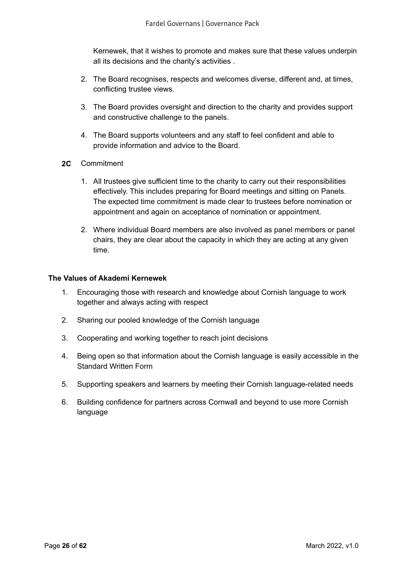Kernewek, that it wishes to promote and makes sure that these values underpin all its decisions and the charity's activities .

- 2. The Board recognises, respects and welcomes diverse, different and, at times, conflicting trustee views.
- 3. The Board provides oversight and direction to the charity and provides support and constructive challenge to the panels.
- 4. The Board supports volunteers and any staff to feel confident and able to provide information and advice to the Board.
- **2C** Commitment
	- 1. All trustees give sufficient time to the charity to carry out their responsibilities effectively. This includes preparing for Board meetings and sitting on Panels. The expected time commitment is made clear to trustees before nomination or appointment and again on acceptance of nomination or appointment.
	- 2. Where individual Board members are also involved as panel members or panel chairs, they are clear about the capacity in which they are acting at any given time.

#### **The Values of Akademi Kernewek**

- 1. Encouraging those with research and knowledge about Cornish language to work together and always acting with respect
- 2. Sharing our pooled knowledge of the Cornish language
- 3. Cooperating and working together to reach joint decisions
- 4. Being open so that information about the Cornish language is easily accessible in the Standard Written Form
- 5. Supporting speakers and learners by meeting their Cornish language-related needs
- 6. Building confidence for partners across Cornwall and beyond to use more Cornish language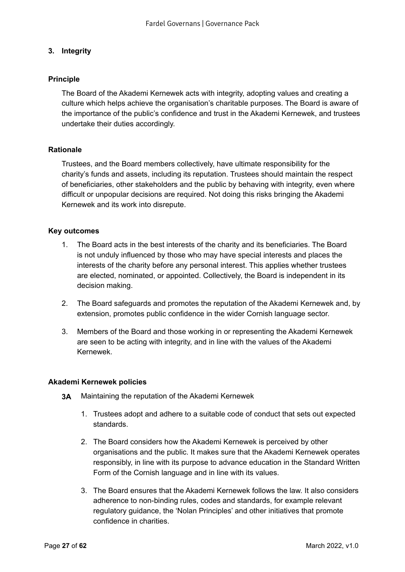## <span id="page-26-0"></span>**3. Integrity**

## **Principle**

The Board of the Akademi Kernewek acts with integrity, adopting values and creating a culture which helps achieve the organisation's charitable purposes. The Board is aware of the importance of the public's confidence and trust in the Akademi Kernewek, and trustees undertake their duties accordingly.

### **Rationale**

Trustees, and the Board members collectively, have ultimate responsibility for the charity's funds and assets, including its reputation. Trustees should maintain the respect of beneficiaries, other stakeholders and the public by behaving with integrity, even where difficult or unpopular decisions are required. Not doing this risks bringing the Akademi Kernewek and its work into disrepute.

#### **Key outcomes**

- 1. The Board acts in the best interests of the charity and its beneficiaries. The Board is not unduly influenced by those who may have special interests and places the interests of the charity before any personal interest. This applies whether trustees are elected, nominated, or appointed. Collectively, the Board is independent in its decision making.
- 2. The Board safeguards and promotes the reputation of the Akademi Kernewek and, by extension, promotes public confidence in the wider Cornish language sector.
- 3. Members of the Board and those working in or representing the Akademi Kernewek are seen to be acting with integrity, and in line with the values of the Akademi Kernewek.

#### **Akademi Kernewek policies**

- **3A** Maintaining the reputation of the Akademi Kernewek
	- 1. Trustees adopt and adhere to a suitable code of conduct that sets out expected standards.
	- 2. The Board considers how the Akademi Kernewek is perceived by other organisations and the public. It makes sure that the Akademi Kernewek operates responsibly, in line with its purpose to advance education in the Standard Written Form of the Cornish language and in line with its values.
	- 3. The Board ensures that the Akademi Kernewek follows the law. It also considers adherence to non-binding rules, codes and standards, for example relevant regulatory guidance, the 'Nolan Principles' and other initiatives that promote confidence in charities.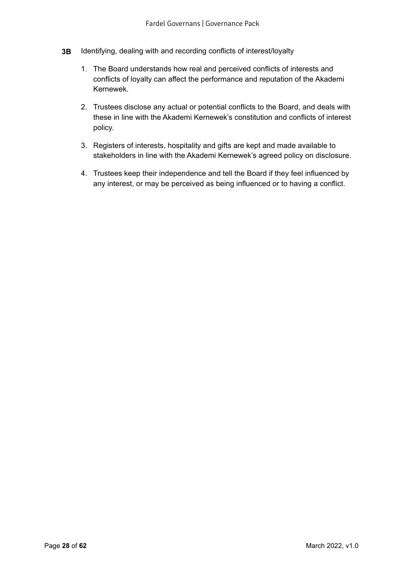- **3B** Identifying, dealing with and recording conflicts of interest/loyalty
	- 1. The Board understands how real and perceived conflicts of interests and conflicts of loyalty can affect the performance and reputation of the Akademi Kernewek.
	- 2. Trustees disclose any actual or potential conflicts to the Board, and deals with these in line with the Akademi Kernewek's constitution and conflicts of interest policy.
	- 3. Registers of interests, hospitality and gifts are kept and made available to stakeholders in line with the Akademi Kernewek's agreed policy on disclosure.
	- 4. Trustees keep their independence and tell the Board if they feel influenced by any interest, or may be perceived as being influenced or to having a conflict.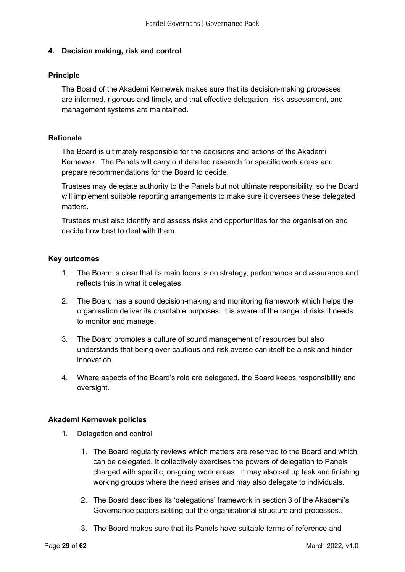## <span id="page-28-0"></span>**4. Decision making, risk and control**

#### **Principle**

The Board of the Akademi Kernewek makes sure that its decision-making processes are informed, rigorous and timely, and that effective delegation, risk-assessment, and management systems are maintained.

### **Rationale**

The Board is ultimately responsible for the decisions and actions of the Akademi Kernewek. The Panels will carry out detailed research for specific work areas and prepare recommendations for the Board to decide.

Trustees may delegate authority to the Panels but not ultimate responsibility, so the Board will implement suitable reporting arrangements to make sure it oversees these delegated matters.

Trustees must also identify and assess risks and opportunities for the organisation and decide how best to deal with them.

### **Key outcomes**

- 1. The Board is clear that its main focus is on strategy, performance and assurance and reflects this in what it delegates.
- 2. The Board has a sound decision-making and monitoring framework which helps the organisation deliver its charitable purposes. It is aware of the range of risks it needs to monitor and manage.
- 3. The Board promotes a culture of sound management of resources but also understands that being over-cautious and risk averse can itself be a risk and hinder innovation.
- 4. Where aspects of the Board's role are delegated, the Board keeps responsibility and oversight.

## **Akademi Kernewek policies**

- 1. Delegation and control
	- 1. The Board regularly reviews which matters are reserved to the Board and which can be delegated. It collectively exercises the powers of delegation to Panels charged with specific, on-going work areas. It may also set up task and finishing working groups where the need arises and may also delegate to individuals.
	- 2. The Board describes its 'delegations' framework in section 3 of the Akademi's Governance papers setting out the organisational structure and processes..
	- 3. The Board makes sure that its Panels have suitable terms of reference and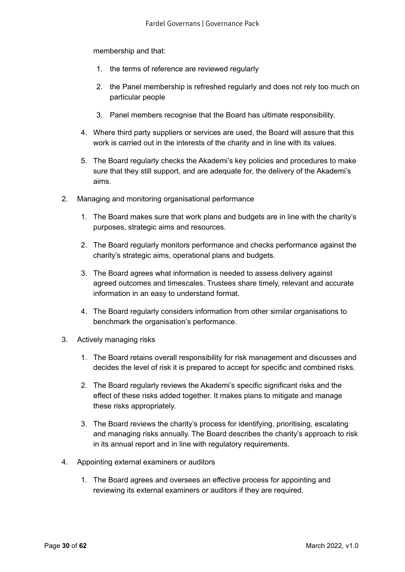membership and that:

- 1. the terms of reference are reviewed regularly
- 2. the Panel membership is refreshed regularly and does not rely too much on particular people
- 3. Panel members recognise that the Board has ultimate responsibility.
- 4. Where third party suppliers or services are used, the Board will assure that this work is carried out in the interests of the charity and in line with its values.
- 5. The Board regularly checks the Akademi's key policies and procedures to make sure that they still support, and are adequate for, the delivery of the Akademi's aims.
- 2. Managing and monitoring organisational performance
	- 1. The Board makes sure that work plans and budgets are in line with the charity's purposes, strategic aims and resources.
	- 2. The Board regularly monitors performance and checks performance against the charity's strategic aims, operational plans and budgets.
	- 3. The Board agrees what information is needed to assess delivery against agreed outcomes and timescales. Trustees share timely, relevant and accurate information in an easy to understand format.
	- 4. The Board regularly considers information from other similar organisations to benchmark the organisation's performance.
- 3. Actively managing risks
	- 1. The Board retains overall responsibility for risk management and discusses and decides the level of risk it is prepared to accept for specific and combined risks.
	- 2. The Board regularly reviews the Akademi's specific significant risks and the effect of these risks added together. It makes plans to mitigate and manage these risks appropriately.
	- 3. The Board reviews the charity's process for identifying, prioritising, escalating and managing risks annually. The Board describes the charity's approach to risk in its annual report and in line with regulatory requirements.
- 4. Appointing external examiners or auditors
	- 1. The Board agrees and oversees an effective process for appointing and reviewing its external examiners or auditors if they are required.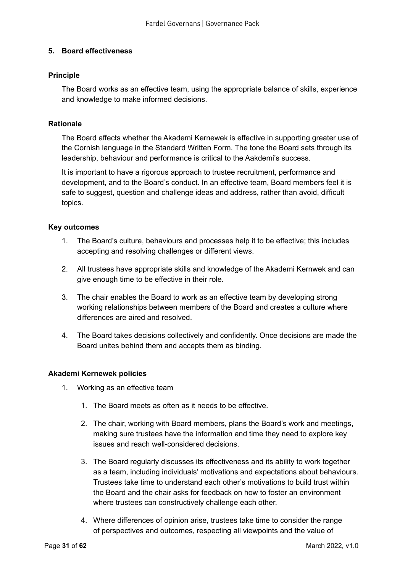## <span id="page-30-0"></span>**5. Board effectiveness**

### **Principle**

The Board works as an effective team, using the appropriate balance of skills, experience and knowledge to make informed decisions.

### **Rationale**

The Board affects whether the Akademi Kernewek is effective in supporting greater use of the Cornish language in the Standard Written Form. The tone the Board sets through its leadership, behaviour and performance is critical to the Aakdemi's success.

It is important to have a rigorous approach to trustee recruitment, performance and development, and to the Board's conduct. In an effective team, Board members feel it is safe to suggest, question and challenge ideas and address, rather than avoid, difficult topics.

### **Key outcomes**

- 1. The Board's culture, behaviours and processes help it to be effective; this includes accepting and resolving challenges or different views.
- 2. All trustees have appropriate skills and knowledge of the Akademi Kernwek and can give enough time to be effective in their role.
- 3. The chair enables the Board to work as an effective team by developing strong working relationships between members of the Board and creates a culture where differences are aired and resolved.
- 4. The Board takes decisions collectively and confidently. Once decisions are made the Board unites behind them and accepts them as binding.

#### **Akademi Kernewek policies**

- 1. Working as an effective team
	- 1. The Board meets as often as it needs to be effective.
	- 2. The chair, working with Board members, plans the Board's work and meetings, making sure trustees have the information and time they need to explore key issues and reach well-considered decisions.
	- 3. The Board regularly discusses its effectiveness and its ability to work together as a team, including individuals' motivations and expectations about behaviours. Trustees take time to understand each other's motivations to build trust within the Board and the chair asks for feedback on how to foster an environment where trustees can constructively challenge each other.
	- 4. Where differences of opinion arise, trustees take time to consider the range of perspectives and outcomes, respecting all viewpoints and the value of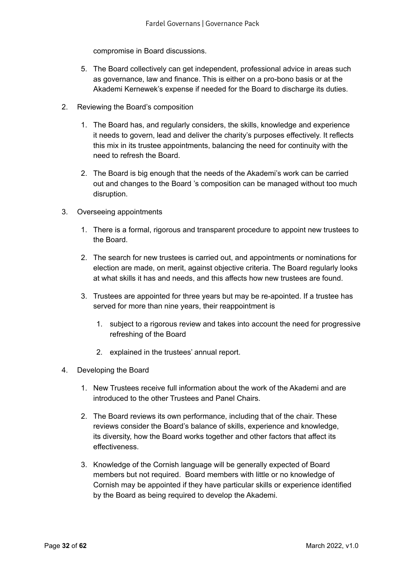compromise in Board discussions.

- 5. The Board collectively can get independent, professional advice in areas such as governance, law and finance. This is either on a pro-bono basis or at the Akademi Kernewek's expense if needed for the Board to discharge its duties.
- 2. Reviewing the Board's composition
	- 1. The Board has, and regularly considers, the skills, knowledge and experience it needs to govern, lead and deliver the charity's purposes effectively. It reflects this mix in its trustee appointments, balancing the need for continuity with the need to refresh the Board.
	- 2. The Board is big enough that the needs of the Akademi's work can be carried out and changes to the Board 's composition can be managed without too much disruption.
- 3. Overseeing appointments
	- 1. There is a formal, rigorous and transparent procedure to appoint new trustees to the Board.
	- 2. The search for new trustees is carried out, and appointments or nominations for election are made, on merit, against objective criteria. The Board regularly looks at what skills it has and needs, and this affects how new trustees are found.
	- 3. Trustees are appointed for three years but may be re-apointed. If a trustee has served for more than nine years, their reappointment is
		- 1. subject to a rigorous review and takes into account the need for progressive refreshing of the Board
		- 2. explained in the trustees' annual report.
- 4. Developing the Board
	- 1. New Trustees receive full information about the work of the Akademi and are introduced to the other Trustees and Panel Chairs.
	- 2. The Board reviews its own performance, including that of the chair. These reviews consider the Board's balance of skills, experience and knowledge, its diversity, how the Board works together and other factors that affect its effectiveness.
	- 3. Knowledge of the Cornish language will be generally expected of Board members but not required. Board members with little or no knowledge of Cornish may be appointed if they have particular skills or experience identified by the Board as being required to develop the Akademi.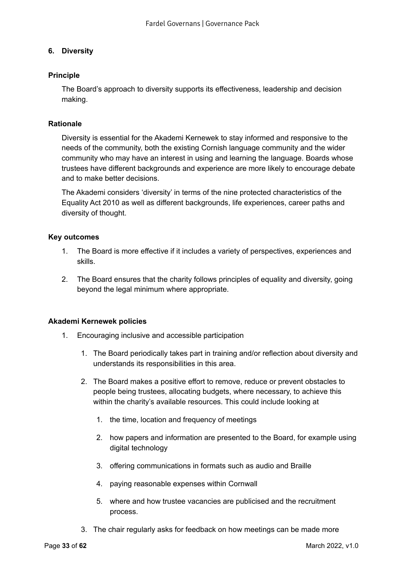## <span id="page-32-0"></span>**6. Diversity**

## **Principle**

The Board's approach to diversity supports its effectiveness, leadership and decision making.

## **Rationale**

Diversity is essential for the Akademi Kernewek to stay informed and responsive to the needs of the community, both the existing Cornish language community and the wider community who may have an interest in using and learning the language. Boards whose trustees have different backgrounds and experience are more likely to encourage debate and to make better decisions.

The Akademi considers 'diversity' in terms of the nine protected characteristics of the Equality Act 2010 as well as different backgrounds, life experiences, career paths and diversity of thought.

### **Key outcomes**

- 1. The Board is more effective if it includes a variety of perspectives, experiences and skills.
- 2. The Board ensures that the charity follows principles of equality and diversity, going beyond the legal minimum where appropriate.

#### **Akademi Kernewek policies**

- 1. Encouraging inclusive and accessible participation
	- 1. The Board periodically takes part in training and/or reflection about diversity and understands its responsibilities in this area.
	- 2. The Board makes a positive effort to remove, reduce or prevent obstacles to people being trustees, allocating budgets, where necessary, to achieve this within the charity's available resources. This could include looking at
		- 1. the time, location and frequency of meetings
		- 2. how papers and information are presented to the Board, for example using digital technology
		- 3. offering communications in formats such as audio and Braille
		- 4. paying reasonable expenses within Cornwall
		- 5. where and how trustee vacancies are publicised and the recruitment process.
	- 3. The chair regularly asks for feedback on how meetings can be made more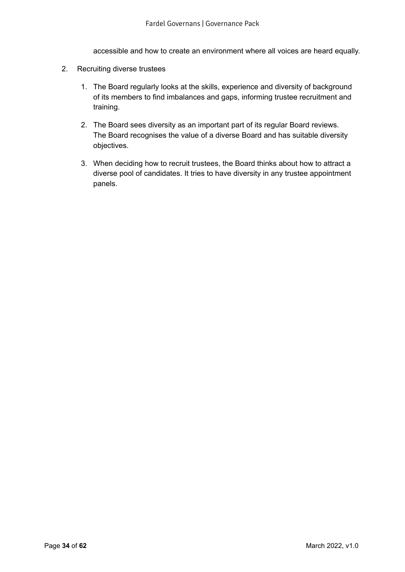accessible and how to create an environment where all voices are heard equally.

- 2. Recruiting diverse trustees
	- 1. The Board regularly looks at the skills, experience and diversity of background of its members to find imbalances and gaps, informing trustee recruitment and training.
	- 2. The Board sees diversity as an important part of its regular Board reviews. The Board recognises the value of a diverse Board and has suitable diversity objectives.
	- 3. When deciding how to recruit trustees, the Board thinks about how to attract a diverse pool of candidates. It tries to have diversity in any trustee appointment panels.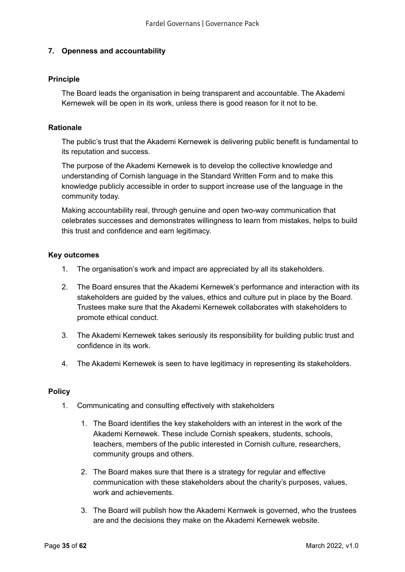## <span id="page-34-0"></span>**7. Openness and accountability**

### **Principle**

The Board leads the organisation in being transparent and accountable. The Akademi Kernewek will be open in its work, unless there is good reason for it not to be.

#### **Rationale**

The public's trust that the Akademi Kernewek is delivering public benefit is fundamental to its reputation and success.

The purpose of the Akademi Kernewek is to develop the collective knowledge and understanding of Cornish language in the Standard Written Form and to make this knowledge publicly accessible in order to support increase use of the language in the community today.

Making accountability real, through genuine and open two-way communication that celebrates successes and demonstrates willingness to learn from mistakes, helps to build this trust and confidence and earn legitimacy.

### **Key outcomes**

- 1. The organisation's work and impact are appreciated by all its stakeholders.
- 2. The Board ensures that the Akademi Kernewek's performance and interaction with its stakeholders are guided by the values, ethics and culture put in place by the Board. Trustees make sure that the Akademi Kernewek collaborates with stakeholders to promote ethical conduct.
- 3. The Akademi Kernewek takes seriously its responsibility for building public trust and confidence in its work.
- 4. The Akademi Kernewek is seen to have legitimacy in representing its stakeholders.

#### **Policy**

- 1. Communicating and consulting effectively with stakeholders
	- 1. The Board identifies the key stakeholders with an interest in the work of the Akademi Kernewek. These include Cornish speakers, students, schools, teachers, members of the public interested in Cornish culture, researchers, community groups and others.
	- 2. The Board makes sure that there is a strategy for regular and effective communication with these stakeholders about the charity's purposes, values, work and achievements.
	- 3. The Board will publish how the Akademi Kernwek is governed, who the trustees are and the decisions they make on the Akademi Kernewek website.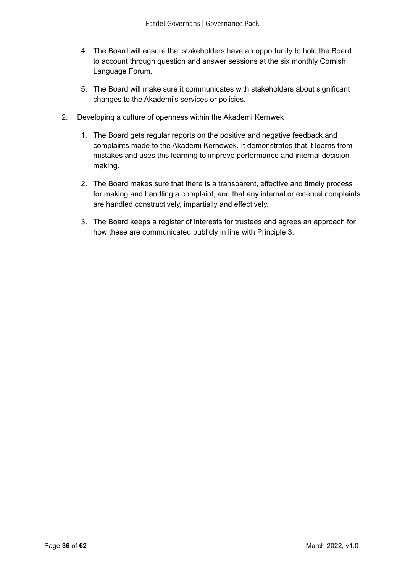- 4. The Board will ensure that stakeholders have an opportunity to hold the Board to account through question and answer sessions at the six monthly Cornish Language Forum.
- 5. The Board will make sure it communicates with stakeholders about significant changes to the Akademi's services or policies.
- 2. Developing a culture of openness within the Akademi Kernwek
	- 1. The Board gets regular reports on the positive and negative feedback and complaints made to the Akademi Kernewek. It demonstrates that it learns from mistakes and uses this learning to improve performance and internal decision making.
	- 2. The Board makes sure that there is a transparent, effective and timely process for making and handling a complaint, and that any internal or external complaints are handled constructively, impartially and effectively.
	- 3. The Board keeps a register of interests for trustees and agrees an approach for how these are communicated publicly in line with Principle 3.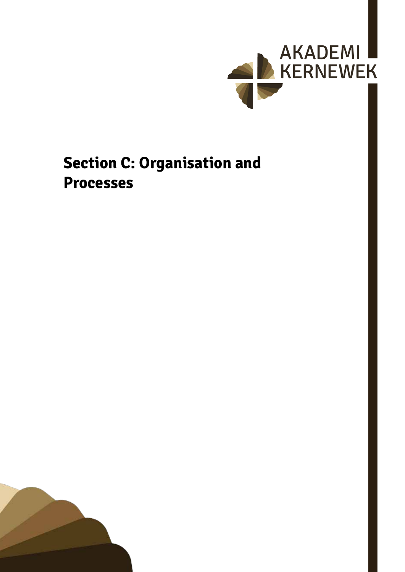

## <span id="page-36-0"></span>**Section C: Organisation and Processes**

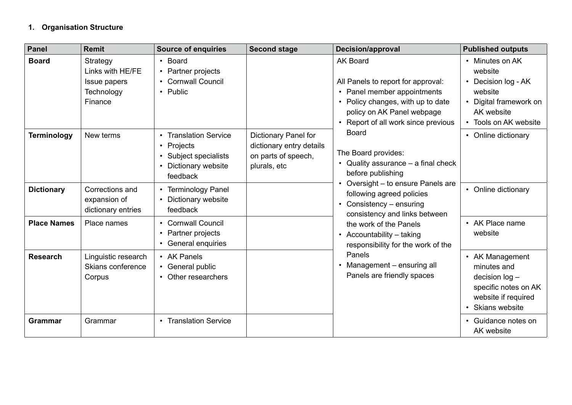## <span id="page-37-0"></span>**1. Organisation Structure**

| Panel              | <b>Remit</b>                                                          | <b>Source of enquiries</b>                                                                                                                          | <b>Second stage</b>                                                                     | <b>Decision/approval</b>                                                                                                                                                                                                                                                                                                                                                                                                              | <b>Published outputs</b>                                                                                                    |
|--------------------|-----------------------------------------------------------------------|-----------------------------------------------------------------------------------------------------------------------------------------------------|-----------------------------------------------------------------------------------------|---------------------------------------------------------------------------------------------------------------------------------------------------------------------------------------------------------------------------------------------------------------------------------------------------------------------------------------------------------------------------------------------------------------------------------------|-----------------------------------------------------------------------------------------------------------------------------|
| <b>Board</b>       | Strategy<br>Links with HE/FE<br>Issue papers<br>Technology<br>Finance | • Board<br>• Partner projects<br><b>Cornwall Council</b><br>$\bullet$<br>• Public                                                                   |                                                                                         | <b>AK Board</b><br>All Panels to report for approval:<br>• Panel member appointments<br>• Policy changes, with up to date<br>policy on AK Panel webpage<br>• Report of all work since previous<br><b>Board</b><br>The Board provides:<br>• Quality assurance $-$ a final check<br>before publishing<br>• Oversight - to ensure Panels are<br>following agreed policies<br>• Consistency $-$ ensuring<br>consistency and links between | • Minutes on AK<br>website<br>• Decision log - AK<br>website<br>• Digital framework on<br>AK website<br>Tools on AK website |
| <b>Terminology</b> | New terms                                                             | <b>Translation Service</b><br>$\bullet$<br>Projects<br>$\bullet$<br>Subject specialists<br>$\bullet$<br>Dictionary website<br>$\bullet$<br>feedback | Dictionary Panel for<br>dictionary entry details<br>on parts of speech,<br>plurals, etc |                                                                                                                                                                                                                                                                                                                                                                                                                                       | • Online dictionary                                                                                                         |
| <b>Dictionary</b>  | Corrections and<br>expansion of<br>dictionary entries                 | <b>Terminology Panel</b><br>Dictionary website<br>$\bullet$<br>feedback                                                                             |                                                                                         |                                                                                                                                                                                                                                                                                                                                                                                                                                       | • Online dictionary                                                                                                         |
| <b>Place Names</b> | Place names                                                           | • Cornwall Council<br>Partner projects<br>$\bullet$<br>General enquiries<br>$\bullet$                                                               |                                                                                         | the work of the Panels<br>• Accountability - taking<br>responsibility for the work of the                                                                                                                                                                                                                                                                                                                                             | • AK Place name<br>website                                                                                                  |
| <b>Research</b>    | Linguistic research<br>Skians conference<br>Corpus                    | • AK Panels<br>• General public<br>• Other researchers                                                                                              |                                                                                         | Panels<br>Management - ensuring all<br>Panels are friendly spaces                                                                                                                                                                                                                                                                                                                                                                     | • AK Management<br>minutes and<br>decision $log -$<br>specific notes on AK<br>website if required<br>• Skians website       |
| <b>Grammar</b>     | Grammar                                                               | <b>Translation Service</b><br>$\bullet$                                                                                                             |                                                                                         |                                                                                                                                                                                                                                                                                                                                                                                                                                       | • Guidance notes on<br>AK website                                                                                           |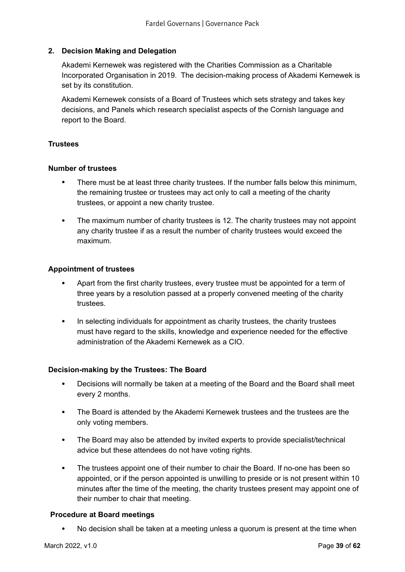## <span id="page-38-0"></span>**2. Decision Making and Delegation**

Akademi Kernewek was registered with the Charities Commission as a Charitable Incorporated Organisation in 2019. The decision-making process of Akademi Kernewek is set by its constitution.

Akademi Kernewek consists of a Board of Trustees which sets strategy and takes key decisions, and Panels which research specialist aspects of the Cornish language and report to the Board.

#### **Trustees**

#### **Number of trustees**

- There must be at least three charity trustees. If the number falls below this minimum, the remaining trustee or trustees may act only to call a meeting of the charity trustees, or appoint a new charity trustee.
- The maximum number of charity trustees is 12. The charity trustees may not appoint any charity trustee if as a result the number of charity trustees would exceed the maximum.

#### **Appointment of trustees**

- Apart from the first charity trustees, every trustee must be appointed for a term of three years by a resolution passed at a properly convened meeting of the charity trustees.
- In selecting individuals for appointment as charity trustees, the charity trustees must have regard to the skills, knowledge and experience needed for the effective administration of the Akademi Kernewek as a CIO.

#### **Decision-making by the Trustees: The Board**

- Decisions will normally be taken at a meeting of the Board and the Board shall meet every 2 months.
- The Board is attended by the Akademi Kernewek trustees and the trustees are the only voting members.
- The Board may also be attended by invited experts to provide specialist/technical advice but these attendees do not have voting rights.
- The trustees appoint one of their number to chair the Board. If no-one has been so appointed, or if the person appointed is unwilling to preside or is not present within 10 minutes after the time of the meeting, the charity trustees present may appoint one of their number to chair that meeting.

#### **Procedure at Board meetings**

• No decision shall be taken at a meeting unless a quorum is present at the time when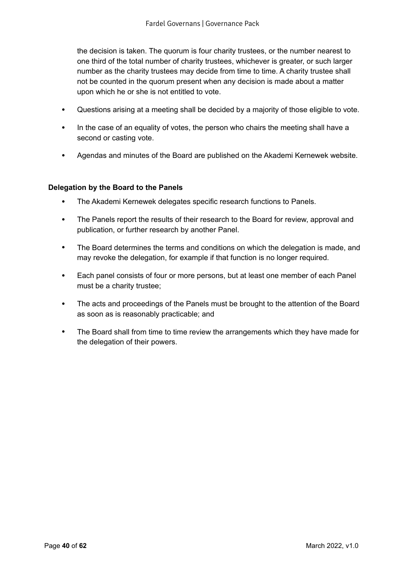the decision is taken. The quorum is four charity trustees, or the number nearest to one third of the total number of charity trustees, whichever is greater, or such larger number as the charity trustees may decide from time to time. A charity trustee shall not be counted in the quorum present when any decision is made about a matter upon which he or she is not entitled to vote.

- Questions arising at a meeting shall be decided by a majority of those eligible to vote.
- In the case of an equality of votes, the person who chairs the meeting shall have a second or casting vote.
- Agendas and minutes of the Board are published on the Akademi Kernewek website.

#### **Delegation by the Board to the Panels**

- The Akademi Kernewek delegates specific research functions to Panels.
- The Panels report the results of their research to the Board for review, approval and publication, or further research by another Panel.
- The Board determines the terms and conditions on which the delegation is made, and may revoke the delegation, for example if that function is no longer required.
- Each panel consists of four or more persons, but at least one member of each Panel must be a charity trustee;
- The acts and proceedings of the Panels must be brought to the attention of the Board as soon as is reasonably practicable; and
- The Board shall from time to time review the arrangements which they have made for the delegation of their powers.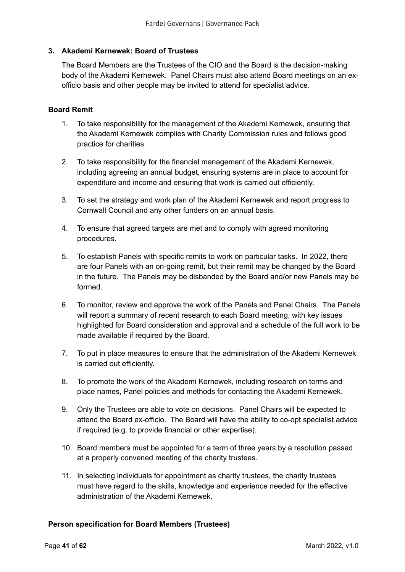## <span id="page-40-0"></span>**3. Akademi Kernewek: Board of Trustees**

The Board Members are the Trustees of the CIO and the Board is the decision-making body of the Akademi Kernewek. Panel Chairs must also attend Board meetings on an exofficio basis and other people may be invited to attend for specialist advice.

#### **Board Remit**

- 1. To take responsibility for the management of the Akademi Kernewek, ensuring that the Akademi Kernewek complies with Charity Commission rules and follows good practice for charities.
- 2. To take responsibility for the financial management of the Akademi Kernewek, including agreeing an annual budget, ensuring systems are in place to account for expenditure and income and ensuring that work is carried out efficiently.
- 3. To set the strategy and work plan of the Akademi Kernewek and report progress to Cornwall Council and any other funders on an annual basis.
- 4. To ensure that agreed targets are met and to comply with agreed monitoring procedures.
- 5. To establish Panels with specific remits to work on particular tasks. In 2022, there are four Panels with an on-going remit, but their remit may be changed by the Board in the future. The Panels may be disbanded by the Board and/or new Panels may be formed.
- 6. To monitor, review and approve the work of the Panels and Panel Chairs. The Panels will report a summary of recent research to each Board meeting, with key issues highlighted for Board consideration and approval and a schedule of the full work to be made available if required by the Board.
- 7. To put in place measures to ensure that the administration of the Akademi Kernewek is carried out efficiently.
- 8. To promote the work of the Akademi Kernewek, including research on terms and place names, Panel policies and methods for contacting the Akademi Kernewek.
- 9. Only the Trustees are able to vote on decisions. Panel Chairs will be expected to attend the Board ex-officio. The Board will have the ability to co-opt specialist advice if required (e.g. to provide financial or other expertise).
- 10. Board members must be appointed for a term of three years by a resolution passed at a properly convened meeting of the charity trustees.
- 11. In selecting individuals for appointment as charity trustees, the charity trustees must have regard to the skills, knowledge and experience needed for the effective administration of the Akademi Kernewek.

#### **Person specification for Board Members (Trustees)**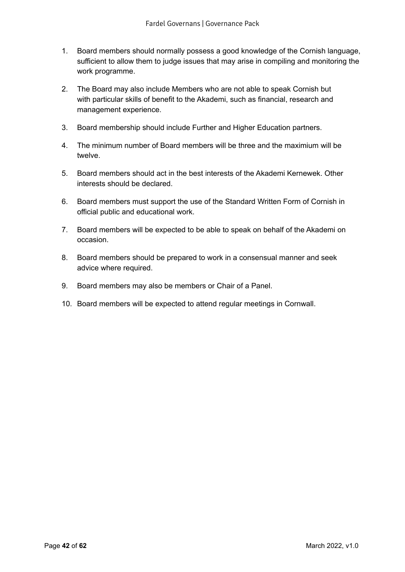- 1. Board members should normally possess a good knowledge of the Cornish language, sufficient to allow them to judge issues that may arise in compiling and monitoring the work programme.
- 2. The Board may also include Members who are not able to speak Cornish but with particular skills of benefit to the Akademi, such as financial, research and management experience.
- 3. Board membership should include Further and Higher Education partners.
- 4. The minimum number of Board members will be three and the maximium will be twelve.
- 5. Board members should act in the best interests of the Akademi Kernewek. Other interests should be declared.
- 6. Board members must support the use of the Standard Written Form of Cornish in official public and educational work.
- 7. Board members will be expected to be able to speak on behalf of the Akademi on occasion.
- 8. Board members should be prepared to work in a consensual manner and seek advice where required.
- 9. Board members may also be members or Chair of a Panel.
- 10. Board members will be expected to attend regular meetings in Cornwall.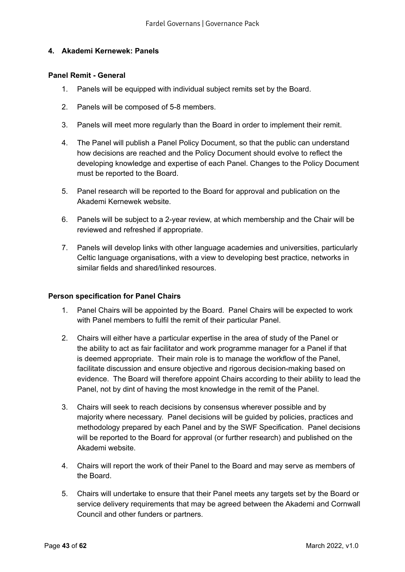#### <span id="page-42-0"></span>**4. Akademi Kernewek: Panels**

#### **Panel Remit - General**

- 1. Panels will be equipped with individual subject remits set by the Board.
- 2. Panels will be composed of 5-8 members.
- 3. Panels will meet more regularly than the Board in order to implement their remit.
- 4. The Panel will publish a Panel Policy Document, so that the public can understand how decisions are reached and the Policy Document should evolve to reflect the developing knowledge and expertise of each Panel. Changes to the Policy Document must be reported to the Board.
- 5. Panel research will be reported to the Board for approval and publication on the Akademi Kernewek website.
- 6. Panels will be subject to a 2-year review, at which membership and the Chair will be reviewed and refreshed if appropriate.
- 7. Panels will develop links with other language academies and universities, particularly Celtic language organisations, with a view to developing best practice, networks in similar fields and shared/linked resources.

#### **Person specification for Panel Chairs**

- 1. Panel Chairs will be appointed by the Board. Panel Chairs will be expected to work with Panel members to fulfil the remit of their particular Panel.
- 2. Chairs will either have a particular expertise in the area of study of the Panel or the ability to act as fair facilitator and work programme manager for a Panel if that is deemed appropriate. Their main role is to manage the workflow of the Panel, facilitate discussion and ensure objective and rigorous decision-making based on evidence. The Board will therefore appoint Chairs according to their ability to lead the Panel, not by dint of having the most knowledge in the remit of the Panel.
- 3. Chairs will seek to reach decisions by consensus wherever possible and by majority where necessary. Panel decisions will be guided by policies, practices and methodology prepared by each Panel and by the SWF Specification. Panel decisions will be reported to the Board for approval (or further research) and published on the Akademi website.
- 4. Chairs will report the work of their Panel to the Board and may serve as members of the Board.
- 5. Chairs will undertake to ensure that their Panel meets any targets set by the Board or service delivery requirements that may be agreed between the Akademi and Cornwall Council and other funders or partners.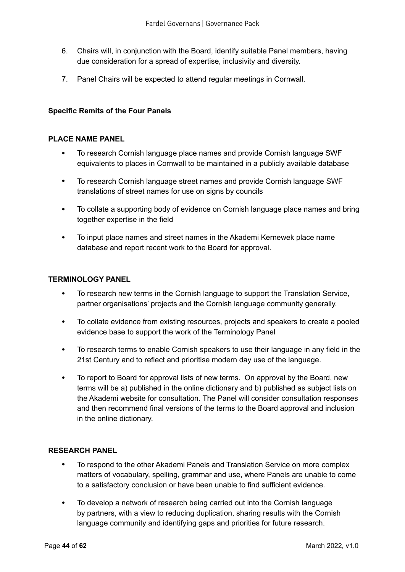- 6. Chairs will, in conjunction with the Board, identify suitable Panel members, having due consideration for a spread of expertise, inclusivity and diversity.
- 7. Panel Chairs will be expected to attend regular meetings in Cornwall.

#### **Specific Remits of the Four Panels**

#### **PLACE NAME PANEL**

- To research Cornish language place names and provide Cornish language SWF equivalents to places in Cornwall to be maintained in a publicly available database
- To research Cornish language street names and provide Cornish language SWF translations of street names for use on signs by councils
- To collate a supporting body of evidence on Cornish language place names and bring together expertise in the field
- To input place names and street names in the Akademi Kernewek place name database and report recent work to the Board for approval.

#### **TERMINOLOGY PANEL**

- To research new terms in the Cornish language to support the Translation Service, partner organisations' projects and the Cornish language community generally.
- To collate evidence from existing resources, projects and speakers to create a pooled evidence base to support the work of the Terminology Panel
- To research terms to enable Cornish speakers to use their language in any field in the 21st Century and to reflect and prioritise modern day use of the language.
- To report to Board for approval lists of new terms. On approval by the Board, new terms will be a) published in the online dictionary and b) published as subject lists on the Akademi website for consultation. The Panel will consider consultation responses and then recommend final versions of the terms to the Board approval and inclusion in the online dictionary.

#### **RESEARCH PANEL**

- To respond to the other Akademi Panels and Translation Service on more complex matters of vocabulary, spelling, grammar and use, where Panels are unable to come to a satisfactory conclusion or have been unable to find sufficient evidence.
- To develop a network of research being carried out into the Cornish language by partners, with a view to reducing duplication, sharing results with the Cornish language community and identifying gaps and priorities for future research.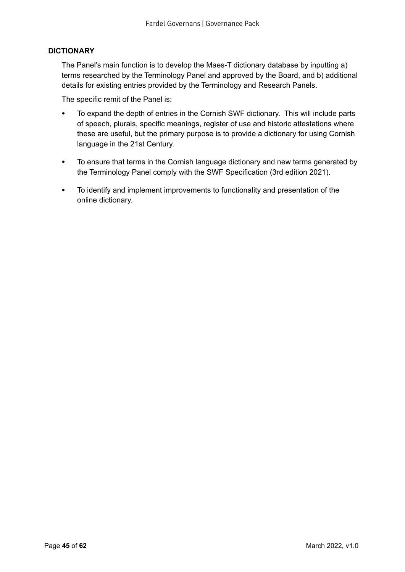## **DICTIONARY**

The Panel's main function is to develop the Maes-T dictionary database by inputting a) terms researched by the Terminology Panel and approved by the Board, and b) additional details for existing entries provided by the Terminology and Research Panels.

The specific remit of the Panel is:

- To expand the depth of entries in the Cornish SWF dictionary. This will include parts of speech, plurals, specific meanings, register of use and historic attestations where these are useful, but the primary purpose is to provide a dictionary for using Cornish language in the 21st Century.
- To ensure that terms in the Cornish language dictionary and new terms generated by the Terminology Panel comply with the SWF Specification (3rd edition 2021).
- To identify and implement improvements to functionality and presentation of the online dictionary.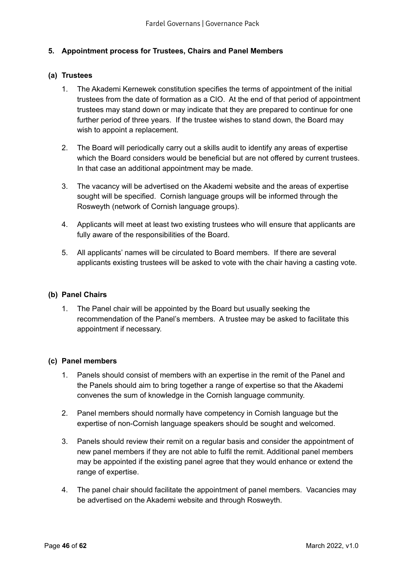## <span id="page-45-0"></span>**5. Appointment process for Trustees, Chairs and Panel Members**

#### **(a) Trustees**

- 1. The Akademi Kernewek constitution specifies the terms of appointment of the initial trustees from the date of formation as a CIO. At the end of that period of appointment trustees may stand down or may indicate that they are prepared to continue for one further period of three years. If the trustee wishes to stand down, the Board may wish to appoint a replacement.
- 2. The Board will periodically carry out a skills audit to identify any areas of expertise which the Board considers would be beneficial but are not offered by current trustees. In that case an additional appointment may be made.
- 3. The vacancy will be advertised on the Akademi website and the areas of expertise sought will be specified. Cornish language groups will be informed through the Rosweyth (network of Cornish language groups).
- 4. Applicants will meet at least two existing trustees who will ensure that applicants are fully aware of the responsibilities of the Board.
- 5. All applicants' names will be circulated to Board members. If there are several applicants existing trustees will be asked to vote with the chair having a casting vote.

#### **(b) Panel Chairs**

1. The Panel chair will be appointed by the Board but usually seeking the recommendation of the Panel's members. A trustee may be asked to facilitate this appointment if necessary.

#### **(c) Panel members**

- 1. Panels should consist of members with an expertise in the remit of the Panel and the Panels should aim to bring together a range of expertise so that the Akademi convenes the sum of knowledge in the Cornish language community.
- 2. Panel members should normally have competency in Cornish language but the expertise of non-Cornish language speakers should be sought and welcomed.
- 3. Panels should review their remit on a regular basis and consider the appointment of new panel members if they are not able to fulfil the remit. Additional panel members may be appointed if the existing panel agree that they would enhance or extend the range of expertise.
- 4. The panel chair should facilitate the appointment of panel members. Vacancies may be advertised on the Akademi website and through Rosweyth.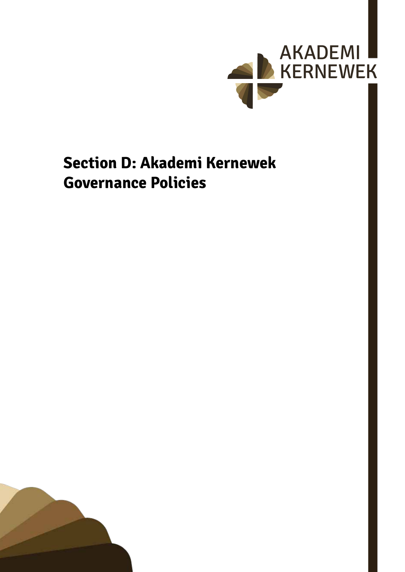

## <span id="page-46-0"></span>**Section D: Akademi Kernewek Governance Policies**

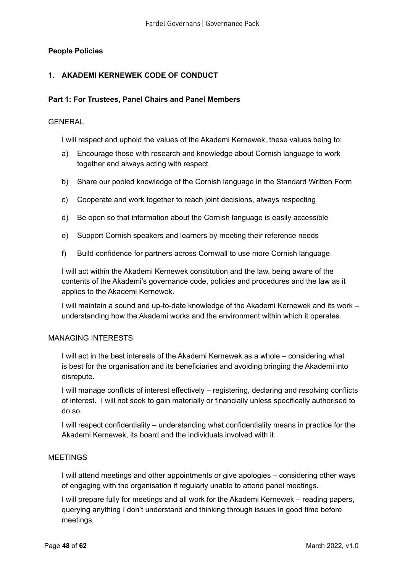## <span id="page-47-0"></span>**People Policies**

## **1. AKADEMI KERNEWEK CODE OF CONDUCT**

#### **Part 1: For Trustees, Panel Chairs and Panel Members**

#### GENERAL

I will respect and uphold the values of the Akademi Kernewek, these values being to:

- a) Encourage those with research and knowledge about Cornish language to work together and always acting with respect
- b) Share our pooled knowledge of the Cornish language in the Standard Written Form
- c) Cooperate and work together to reach joint decisions, always respecting
- d) Be open so that information about the Cornish language is easily accessible
- e) Support Cornish speakers and learners by meeting their reference needs
- f) Build confidence for partners across Cornwall to use more Cornish language.

I will act within the Akademi Kernewek constitution and the law, being aware of the contents of the Akademi's governance code, policies and procedures and the law as it applies to the Akademi Kernewek.

I will maintain a sound and up-to-date knowledge of the Akademi Kernewek and its work – understanding how the Akademi works and the environment within which it operates.

#### MANAGING INTERESTS

I will act in the best interests of the Akademi Kernewek as a whole – considering what is best for the organisation and its beneficiaries and avoiding bringing the Akademi into disrepute.

I will manage conflicts of interest effectively – registering, declaring and resolving conflicts of interest. I will not seek to gain materially or financially unless specifically authorised to do so.

I will respect confidentiality – understanding what confidentiality means in practice for the Akademi Kernewek, its board and the individuals involved with it.

#### MEETINGS

I will attend meetings and other appointments or give apologies – considering other ways of engaging with the organisation if regularly unable to attend panel meetings.

I will prepare fully for meetings and all work for the Akademi Kernewek – reading papers, querying anything I don't understand and thinking through issues in good time before meetings.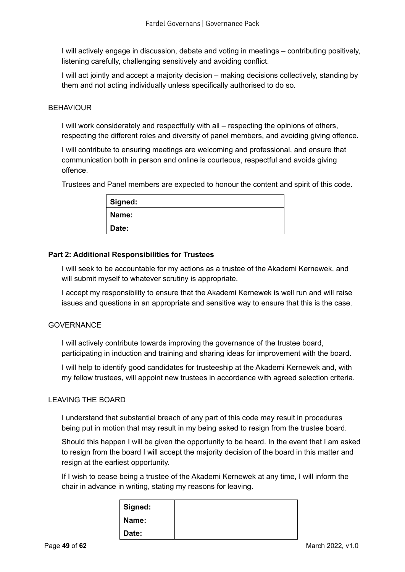I will actively engage in discussion, debate and voting in meetings – contributing positively, listening carefully, challenging sensitively and avoiding conflict.

I will act jointly and accept a majority decision – making decisions collectively, standing by them and not acting individually unless specifically authorised to do so.

#### **BEHAVIOUR**

I will work considerately and respectfully with all – respecting the opinions of others, respecting the different roles and diversity of panel members, and avoiding giving offence.

I will contribute to ensuring meetings are welcoming and professional, and ensure that communication both in person and online is courteous, respectful and avoids giving offence.

Trustees and Panel members are expected to honour the content and spirit of this code.

| Signed: |  |
|---------|--|
| Name:   |  |
| Date:   |  |

#### **Part 2: Additional Responsibilities for Trustees**

I will seek to be accountable for my actions as a trustee of the Akademi Kernewek, and will submit myself to whatever scrutiny is appropriate.

I accept my responsibility to ensure that the Akademi Kernewek is well run and will raise issues and questions in an appropriate and sensitive way to ensure that this is the case.

#### **GOVERNANCE**

I will actively contribute towards improving the governance of the trustee board, participating in induction and training and sharing ideas for improvement with the board.

I will help to identify good candidates for trusteeship at the Akademi Kernewek and, with my fellow trustees, will appoint new trustees in accordance with agreed selection criteria.

#### LEAVING THE BOARD

I understand that substantial breach of any part of this code may result in procedures being put in motion that may result in my being asked to resign from the trustee board.

Should this happen I will be given the opportunity to be heard. In the event that I am asked to resign from the board I will accept the majority decision of the board in this matter and resign at the earliest opportunity.

If I wish to cease being a trustee of the Akademi Kernewek at any time, I will inform the chair in advance in writing, stating my reasons for leaving.

| Signed: |  |
|---------|--|
| Name:   |  |
| Date:   |  |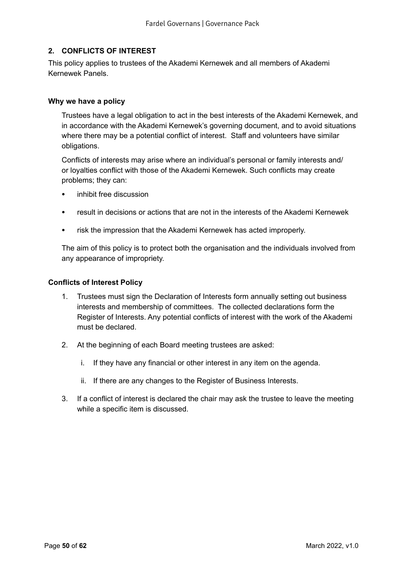## <span id="page-49-0"></span>**2. CONFLICTS OF INTEREST**

This policy applies to trustees of the Akademi Kernewek and all members of Akademi Kernewek Panels.

#### **Why we have a policy**

Trustees have a legal obligation to act in the best interests of the Akademi Kernewek, and in accordance with the Akademi Kernewek's governing document, and to avoid situations where there may be a potential conflict of interest. Staff and volunteers have similar obligations.

Conflicts of interests may arise where an individual's personal or family interests and/ or loyalties conflict with those of the Akademi Kernewek. Such conflicts may create problems; they can:

- inhibit free discussion
- result in decisions or actions that are not in the interests of the Akademi Kernewek
- risk the impression that the Akademi Kernewek has acted improperly.

The aim of this policy is to protect both the organisation and the individuals involved from any appearance of impropriety.

#### **Conflicts of Interest Policy**

- 1. Trustees must sign the Declaration of Interests form annually setting out business interests and membership of committees. The collected declarations form the Register of Interests. Any potential conflicts of interest with the work of the Akademi must be declared.
- 2. At the beginning of each Board meeting trustees are asked:
	- i. If they have any financial or other interest in any item on the agenda.
	- ii. If there are any changes to the Register of Business Interests.
- 3. If a conflict of interest is declared the chair may ask the trustee to leave the meeting while a specific item is discussed.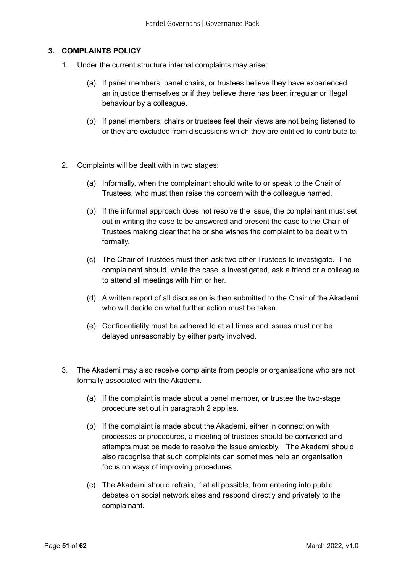## <span id="page-50-0"></span>**3. COMPLAINTS POLICY**

- 1. Under the current structure internal complaints may arise:
	- (a) If panel members, panel chairs, or trustees believe they have experienced an injustice themselves or if they believe there has been irregular or illegal behaviour by a colleague.
	- (b) If panel members, chairs or trustees feel their views are not being listened to or they are excluded from discussions which they are entitled to contribute to.
- 2. Complaints will be dealt with in two stages:
	- (a) Informally, when the complainant should write to or speak to the Chair of Trustees, who must then raise the concern with the colleague named.
	- (b) If the informal approach does not resolve the issue, the complainant must set out in writing the case to be answered and present the case to the Chair of Trustees making clear that he or she wishes the complaint to be dealt with formally.
	- (c) The Chair of Trustees must then ask two other Trustees to investigate. The complainant should, while the case is investigated, ask a friend or a colleague to attend all meetings with him or her.
	- (d) A written report of all discussion is then submitted to the Chair of the Akademi who will decide on what further action must be taken.
	- (e) Confidentiality must be adhered to at all times and issues must not be delayed unreasonably by either party involved.
- 3. The Akademi may also receive complaints from people or organisations who are not formally associated with the Akademi.
	- (a) If the complaint is made about a panel member, or trustee the two-stage procedure set out in paragraph 2 applies.
	- (b) If the complaint is made about the Akademi, either in connection with processes or procedures, a meeting of trustees should be convened and attempts must be made to resolve the issue amicably. The Akademi should also recognise that such complaints can sometimes help an organisation focus on ways of improving procedures.
	- (c) The Akademi should refrain, if at all possible, from entering into public debates on social network sites and respond directly and privately to the complainant.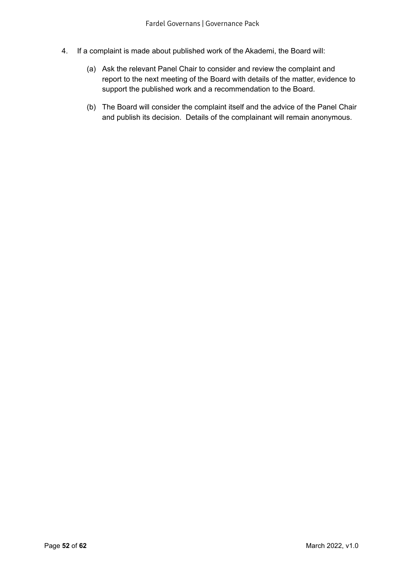- 4. If a complaint is made about published work of the Akademi, the Board will:
	- (a) Ask the relevant Panel Chair to consider and review the complaint and report to the next meeting of the Board with details of the matter, evidence to support the published work and a recommendation to the Board.
	- (b) The Board will consider the complaint itself and the advice of the Panel Chair and publish its decision. Details of the complainant will remain anonymous.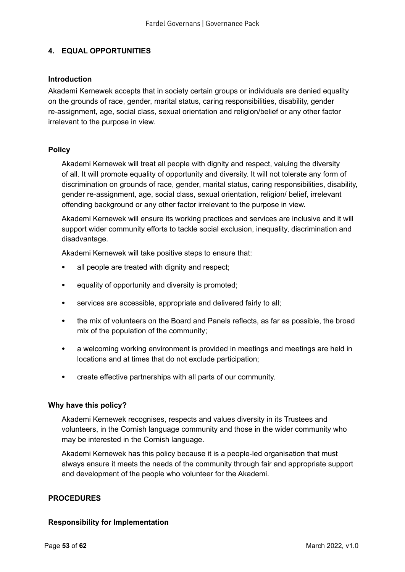## <span id="page-52-0"></span>**4. EQUAL OPPORTUNITIES**

#### **Introduction**

Akademi Kernewek accepts that in society certain groups or individuals are denied equality on the grounds of race, gender, marital status, caring responsibilities, disability, gender re-assignment, age, social class, sexual orientation and religion/belief or any other factor irrelevant to the purpose in view.

### **Policy**

Akademi Kernewek will treat all people with dignity and respect, valuing the diversity of all. It will promote equality of opportunity and diversity. It will not tolerate any form of discrimination on grounds of race, gender, marital status, caring responsibilities, disability, gender re-assignment, age, social class, sexual orientation, religion/ belief, irrelevant offending background or any other factor irrelevant to the purpose in view.

Akademi Kernewek will ensure its working practices and services are inclusive and it will support wider community efforts to tackle social exclusion, inequality, discrimination and disadvantage.

Akademi Kernewek will take positive steps to ensure that:

- all people are treated with dignity and respect;
- equality of opportunity and diversity is promoted;
- services are accessible, appropriate and delivered fairly to all;
- the mix of volunteers on the Board and Panels reflects, as far as possible, the broad mix of the population of the community;
- a welcoming working environment is provided in meetings and meetings are held in locations and at times that do not exclude participation;
- create effective partnerships with all parts of our community.

#### **Why have this policy?**

Akademi Kernewek recognises, respects and values diversity in its Trustees and volunteers, in the Cornish language community and those in the wider community who may be interested in the Cornish language.

Akademi Kernewek has this policy because it is a people-led organisation that must always ensure it meets the needs of the community through fair and appropriate support and development of the people who volunteer for the Akademi.

#### **PROCEDURES**

#### **Responsibility for Implementation**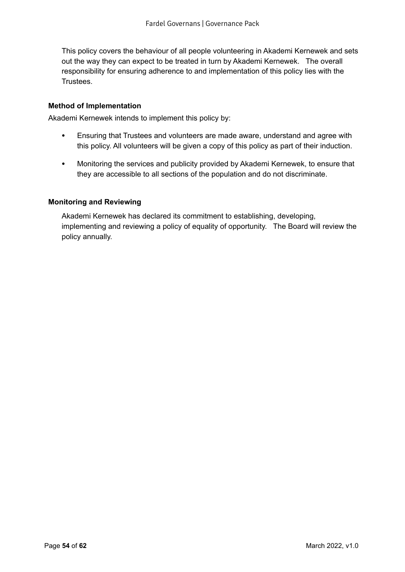This policy covers the behaviour of all people volunteering in Akademi Kernewek and sets out the way they can expect to be treated in turn by Akademi Kernewek. The overall responsibility for ensuring adherence to and implementation of this policy lies with the Trustees.

#### **Method of Implementation**

Akademi Kernewek intends to implement this policy by:

- Ensuring that Trustees and volunteers are made aware, understand and agree with this policy. All volunteers will be given a copy of this policy as part of their induction.
- Monitoring the services and publicity provided by Akademi Kernewek, to ensure that they are accessible to all sections of the population and do not discriminate.

#### **Monitoring and Reviewing**

Akademi Kernewek has declared its commitment to establishing, developing, implementing and reviewing a policy of equality of opportunity. The Board will review the policy annually.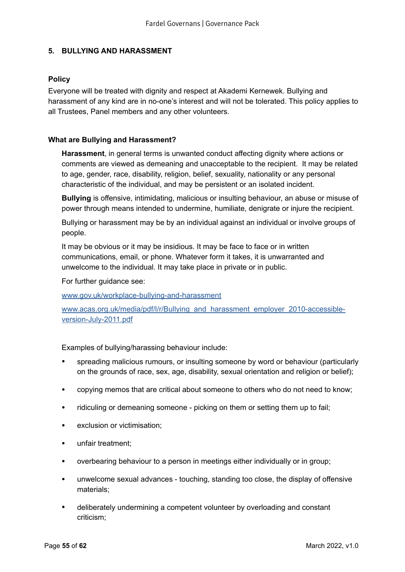## <span id="page-54-0"></span>**5. BULLYING AND HARASSMENT**

### **Policy**

Everyone will be treated with dignity and respect at Akademi Kernewek. Bullying and harassment of any kind are in no-one's interest and will not be tolerated. This policy applies to all Trustees, Panel members and any other volunteers.

#### **What are Bullying and Harassment?**

**Harassment**, in general terms is unwanted conduct affecting dignity where actions or comments are viewed as demeaning and unacceptable to the recipient. It may be related to age, gender, race, disability, religion, belief, sexuality, nationality or any personal characteristic of the individual, and may be persistent or an isolated incident.

**Bullying** is offensive, intimidating, malicious or insulting behaviour, an abuse or misuse of power through means intended to undermine, humiliate, denigrate or injure the recipient.

Bullying or harassment may be by an individual against an individual or involve groups of people.

It may be obvious or it may be insidious. It may be face to face or in written communications, email, or phone. Whatever form it takes, it is unwarranted and unwelcome to the individual. It may take place in private or in public.

For further guidance see:

[www.gov.uk/workplace-bullying-and-harassment](http://www.gov.uk/workplace-bullying-and-harassment)

[www.acas.org.uk/media/pdf/l/r/Bullying\\_and\\_harassment\\_employer\\_2010-accessible](http://www.acas.org.uk/media/pdf/l/r/Bullying_and_harassment_employer_2010-accessible-version-July-2011.pdf)[version-July-2011.pdf](http://www.acas.org.uk/media/pdf/l/r/Bullying_and_harassment_employer_2010-accessible-version-July-2011.pdf)

Examples of bullying/harassing behaviour include:

- spreading malicious rumours, or insulting someone by word or behaviour (particularly on the grounds of race, sex, age, disability, sexual orientation and religion or belief);
- copying memos that are critical about someone to others who do not need to know;
- ridiculing or demeaning someone picking on them or setting them up to fail;
- exclusion or victimisation:
- unfair treatment;
- overbearing behaviour to a person in meetings either individually or in group;
- unwelcome sexual advances touching, standing too close, the display of offensive materials;
- deliberately undermining a competent volunteer by overloading and constant criticism;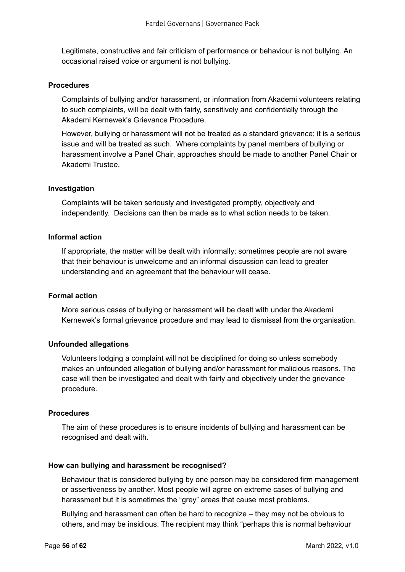Legitimate, constructive and fair criticism of performance or behaviour is not bullying. An occasional raised voice or argument is not bullying.

#### **Procedures**

Complaints of bullying and/or harassment, or information from Akademi volunteers relating to such complaints, will be dealt with fairly, sensitively and confidentially through the Akademi Kernewek's Grievance Procedure.

However, bullying or harassment will not be treated as a standard grievance; it is a serious issue and will be treated as such. Where complaints by panel members of bullying or harassment involve a Panel Chair, approaches should be made to another Panel Chair or Akademi Trustee.

#### **Investigation**

Complaints will be taken seriously and investigated promptly, objectively and independently. Decisions can then be made as to what action needs to be taken.

#### **Informal action**

If appropriate, the matter will be dealt with informally; sometimes people are not aware that their behaviour is unwelcome and an informal discussion can lead to greater understanding and an agreement that the behaviour will cease.

#### **Formal action**

More serious cases of bullying or harassment will be dealt with under the Akademi Kernewek's formal grievance procedure and may lead to dismissal from the organisation.

#### **Unfounded allegations**

Volunteers lodging a complaint will not be disciplined for doing so unless somebody makes an unfounded allegation of bullying and/or harassment for malicious reasons. The case will then be investigated and dealt with fairly and objectively under the grievance procedure.

#### **Procedures**

The aim of these procedures is to ensure incidents of bullying and harassment can be recognised and dealt with.

#### **How can bullying and harassment be recognised?**

Behaviour that is considered bullying by one person may be considered firm management or assertiveness by another. Most people will agree on extreme cases of bullying and harassment but it is sometimes the "grey" areas that cause most problems.

Bullying and harassment can often be hard to recognize – they may not be obvious to others, and may be insidious. The recipient may think "perhaps this is normal behaviour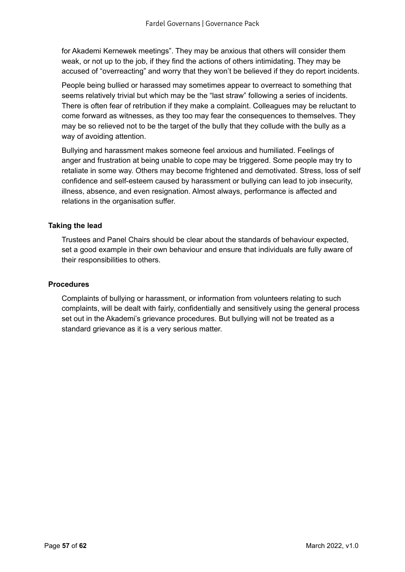for Akademi Kernewek meetings". They may be anxious that others will consider them weak, or not up to the job, if they find the actions of others intimidating. They may be accused of "overreacting" and worry that they won't be believed if they do report incidents.

People being bullied or harassed may sometimes appear to overreact to something that seems relatively trivial but which may be the "last straw" following a series of incidents. There is often fear of retribution if they make a complaint. Colleagues may be reluctant to come forward as witnesses, as they too may fear the consequences to themselves. They may be so relieved not to be the target of the bully that they collude with the bully as a way of avoiding attention.

Bullying and harassment makes someone feel anxious and humiliated. Feelings of anger and frustration at being unable to cope may be triggered. Some people may try to retaliate in some way. Others may become frightened and demotivated. Stress, loss of self confidence and self-esteem caused by harassment or bullying can lead to job insecurity, illness, absence, and even resignation. Almost always, performance is affected and relations in the organisation suffer.

### **Taking the lead**

Trustees and Panel Chairs should be clear about the standards of behaviour expected, set a good example in their own behaviour and ensure that individuals are fully aware of their responsibilities to others.

#### **Procedures**

Complaints of bullying or harassment, or information from volunteers relating to such complaints, will be dealt with fairly, confidentially and sensitively using the general process set out in the Akademi's grievance procedures. But bullying will not be treated as a standard grievance as it is a very serious matter.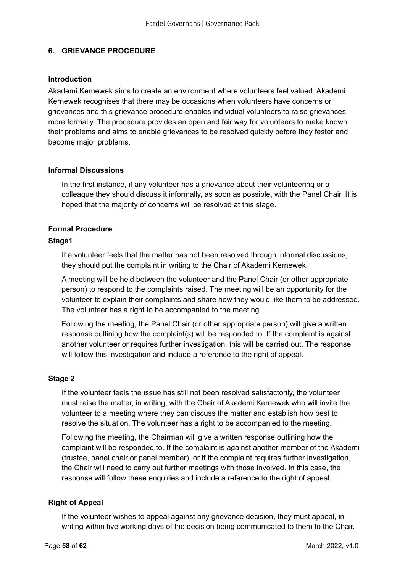## <span id="page-57-0"></span>**6. GRIEVANCE PROCEDURE**

#### **Introduction**

Akademi Kernewek aims to create an environment where volunteers feel valued. Akademi Kernewek recognises that there may be occasions when volunteers have concerns or grievances and this grievance procedure enables individual volunteers to raise grievances more formally. The procedure provides an open and fair way for volunteers to make known their problems and aims to enable grievances to be resolved quickly before they fester and become major problems.

#### **Informal Discussions**

In the first instance, if any volunteer has a grievance about their volunteering or a colleague they should discuss it informally, as soon as possible, with the Panel Chair. It is hoped that the majority of concerns will be resolved at this stage.

## **Formal Procedure**

### **Stage1**

If a volunteer feels that the matter has not been resolved through informal discussions, they should put the complaint in writing to the Chair of Akademi Kernewek.

A meeting will be held between the volunteer and the Panel Chair (or other appropriate person) to respond to the complaints raised. The meeting will be an opportunity for the volunteer to explain their complaints and share how they would like them to be addressed. The volunteer has a right to be accompanied to the meeting.

Following the meeting, the Panel Chair (or other appropriate person) will give a written response outlining how the complaint(s) will be responded to. If the complaint is against another volunteer or requires further investigation, this will be carried out. The response will follow this investigation and include a reference to the right of appeal.

## **Stage 2**

If the volunteer feels the issue has still not been resolved satisfactorily, the volunteer must raise the matter, in writing, with the Chair of Akademi Kernewek who will invite the volunteer to a meeting where they can discuss the matter and establish how best to resolve the situation. The volunteer has a right to be accompanied to the meeting.

Following the meeting, the Chairman will give a written response outlining how the complaint will be responded to. If the complaint is against another member of the Akademi (trustee, panel chair or panel member), or if the complaint requires further investigation, the Chair will need to carry out further meetings with those involved. In this case, the response will follow these enquiries and include a reference to the right of appeal.

## **Right of Appeal**

If the volunteer wishes to appeal against any grievance decision, they must appeal, in writing within five working days of the decision being communicated to them to the Chair.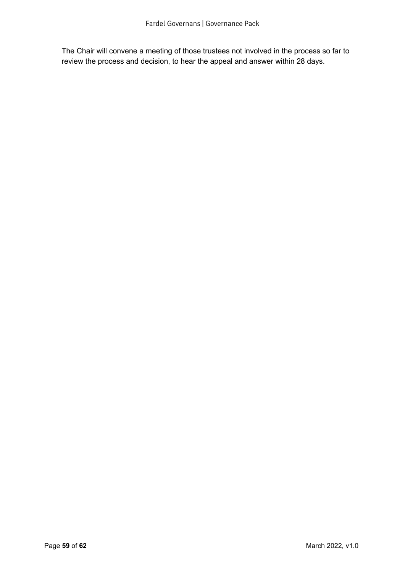The Chair will convene a meeting of those trustees not involved in the process so far to review the process and decision, to hear the appeal and answer within 28 days.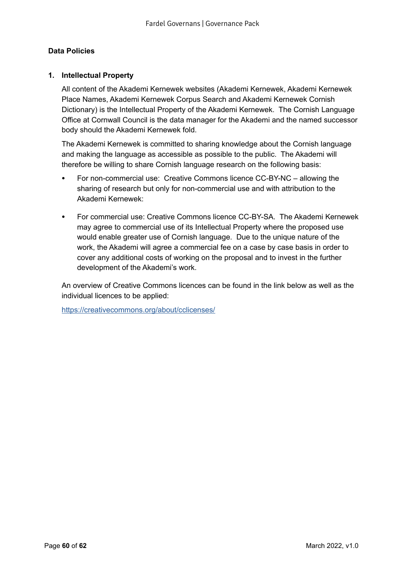## <span id="page-59-0"></span>**Data Policies**

## **1. Intellectual Property**

All content of the Akademi Kernewek websites (Akademi Kernewek, Akademi Kernewek Place Names, Akademi Kernewek Corpus Search and Akademi Kernewek Cornish Dictionary) is the Intellectual Property of the Akademi Kernewek. The Cornish Language Office at Cornwall Council is the data manager for the Akademi and the named successor body should the Akademi Kernewek fold.

The Akademi Kernewek is committed to sharing knowledge about the Cornish language and making the language as accessible as possible to the public. The Akademi will therefore be willing to share Cornish language research on the following basis:

- For non-commercial use: Creative Commons licence CC-BY-NC allowing the sharing of research but only for non-commercial use and with attribution to the Akademi Kernewek:
- For commercial use: Creative Commons licence CC-BY-SA. The Akademi Kernewek may agree to commercial use of its Intellectual Property where the proposed use would enable greater use of Cornish language. Due to the unique nature of the work, the Akademi will agree a commercial fee on a case by case basis in order to cover any additional costs of working on the proposal and to invest in the further development of the Akademi's work.

An overview of Creative Commons licences can be found in the link below as well as the individual licences to be applied:

<https://creativecommons.org/about/cclicenses/>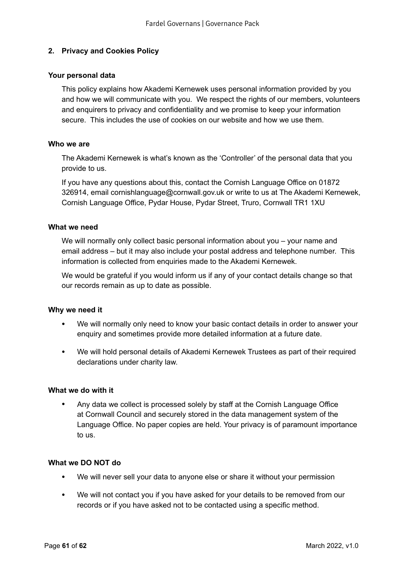## <span id="page-60-0"></span>**2. Privacy and Cookies Policy**

#### **Your personal data**

This policy explains how Akademi Kernewek uses personal information provided by you and how we will communicate with you. We respect the rights of our members, volunteers and enquirers to privacy and confidentiality and we promise to keep your information secure. This includes the use of cookies on our website and how we use them.

#### **Who we are**

The Akademi Kernewek is what's known as the 'Controller' of the personal data that you provide to us.

If you have any questions about this, contact the Cornish Language Office on 01872 326914, email cornishlanguage@cornwall.gov.uk or write to us at The Akademi Kernewek, Cornish Language Office, Pydar House, Pydar Street, Truro, Cornwall TR1 1XU

#### **What we need**

We will normally only collect basic personal information about you – your name and email address – but it may also include your postal address and telephone number. This information is collected from enquiries made to the Akademi Kernewek.

We would be grateful if you would inform us if any of your contact details change so that our records remain as up to date as possible.

#### **Why we need it**

- We will normally only need to know your basic contact details in order to answer your enquiry and sometimes provide more detailed information at a future date.
- We will hold personal details of Akademi Kernewek Trustees as part of their required declarations under charity law.

#### **What we do with it**

• Any data we collect is processed solely by staff at the Cornish Language Office at Cornwall Council and securely stored in the data management system of the Language Office. No paper copies are held. Your privacy is of paramount importance to us.

#### **What we DO NOT do**

- We will never sell your data to anyone else or share it without your permission
- We will not contact you if you have asked for your details to be removed from our records or if you have asked not to be contacted using a specific method.